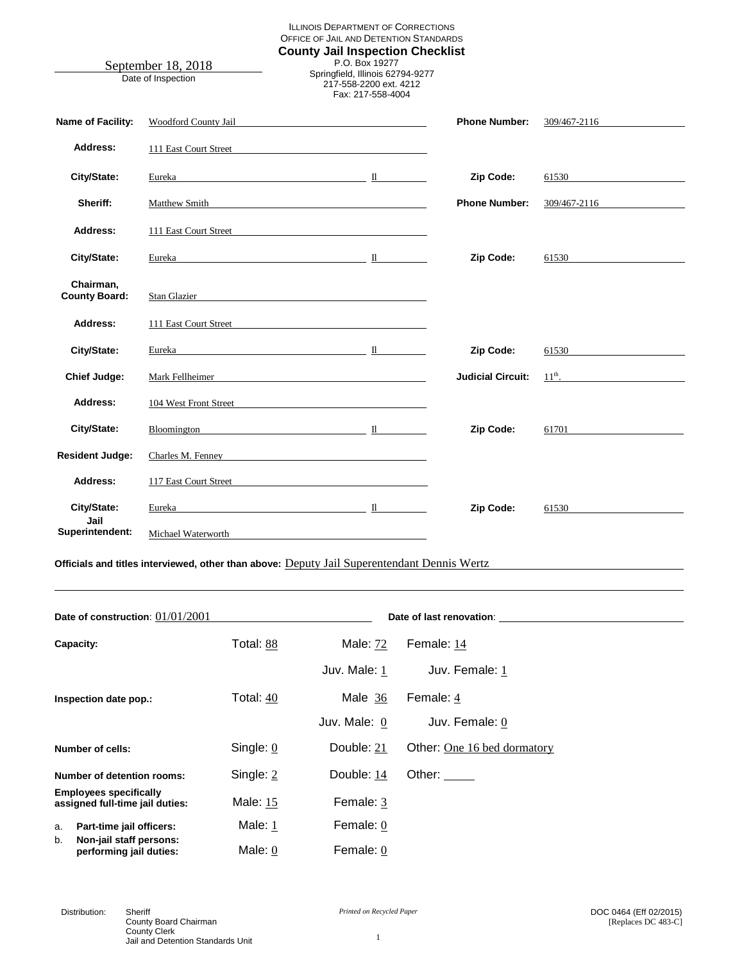|                                   | September 18, 2018   | <b>ILLINOIS DEPARTMENT OF CORRECTIONS</b><br>OFFICE OF JAIL AND DETENTION STANDARDS<br><b>County Jail Inspection Checklist</b><br>P.O. Box 19277<br>Springfield, Illinois 62794-9277                                           |                          |                                                                                                                                                                                                                                 |
|-----------------------------------|----------------------|--------------------------------------------------------------------------------------------------------------------------------------------------------------------------------------------------------------------------------|--------------------------|---------------------------------------------------------------------------------------------------------------------------------------------------------------------------------------------------------------------------------|
| Date of Inspection                |                      | 217-558-2200 ext. 4212<br>Fax: 217-558-4004                                                                                                                                                                                    |                          |                                                                                                                                                                                                                                 |
| <b>Name of Facility:</b>          | Woodford County Jail | <u> 1989 - Johann Stein, marwolaethau a bhann an t-Amhair an t-Amhair an t-Amhair an t-Amhair an t-Amhair an t-A</u>                                                                                                           | <b>Phone Number:</b>     | 309/467-2116                                                                                                                                                                                                                    |
| Address:                          |                      | 111 East Court Street                                                                                                                                                                                                          |                          |                                                                                                                                                                                                                                 |
| City/State:                       |                      | Eureka II                                                                                                                                                                                                                      | Zip Code:                | 61530                                                                                                                                                                                                                           |
| Sheriff:                          |                      | Matthew Smith Matthew Smith                                                                                                                                                                                                    | <b>Phone Number:</b>     | 309/467-2116                                                                                                                                                                                                                    |
| Address:                          |                      | 111 East Court Street                                                                                                                                                                                                          |                          |                                                                                                                                                                                                                                 |
| City/State:                       |                      | Eureka March 11 and 2012 and 2013 and 2013 and 2013 and 2013 and 2013 and 2013 and 2013 and 2013 and 2013 and 2013 and 2013 and 2013 and 2013 and 2013 and 2013 and 2013 and 2013 and 2013 and 2013 and 2013 and 2013 and 2013 | Zip Code:                | 61530                                                                                                                                                                                                                           |
| Chairman.<br><b>County Board:</b> |                      | Stan Glazier                                                                                                                                                                                                                   |                          |                                                                                                                                                                                                                                 |
| Address:                          |                      | 111 East Court Street                                                                                                                                                                                                          |                          |                                                                                                                                                                                                                                 |
| City/State:                       |                      | Eureka $\overline{\mathbf{u}}$                                                                                                                                                                                                 | Zip Code:                | 61530                                                                                                                                                                                                                           |
| <b>Chief Judge:</b>               |                      | Mark Fellheimer<br><u>Mark Fellheimer</u>                                                                                                                                                                                      | <b>Judicial Circuit:</b> | $11th$ .                                                                                                                                                                                                                        |
| Address:                          |                      | 104 West Front Street                                                                                                                                                                                                          |                          |                                                                                                                                                                                                                                 |
| City/State:                       |                      | Bloomington 11                                                                                                                                                                                                                 | Zip Code:                | 61701 — Синтепсисование с собстановки под собстановки под собстановки под собстановки под собстановки под собстановки под собстановки под собстановки под собстановки под собстановки под собстановки под собстановки под собст |
| <b>Resident Judge:</b>            |                      | Charles M. Fenney                                                                                                                                                                                                              |                          |                                                                                                                                                                                                                                 |
| Address:                          |                      | 117 East Court Street                                                                                                                                                                                                          |                          |                                                                                                                                                                                                                                 |
| City/State:                       |                      | Eureka $\frac{\text{E} \text{u} \cdot \text{u}}{\text{u} \cdot \text{u} \cdot \text{u} \cdot \text{u} \cdot \text{u}}$                                                                                                         | Zip Code:                | 61530                                                                                                                                                                                                                           |
| Jail<br>Superintendent:           |                      |                                                                                                                                                                                                                                |                          |                                                                                                                                                                                                                                 |

**Officials and titles interviewed, other than above:** Deputy Jail Superentendant Dennis Wertz

| Date of construction: $01/01/2001$ |                                                                  |             | Date of last renovation: |                             |
|------------------------------------|------------------------------------------------------------------|-------------|--------------------------|-----------------------------|
|                                    | Capacity:                                                        | Total: 88   | Male: 72                 | Female: 14                  |
|                                    |                                                                  |             | Juv. Male: 1             | Juv. Female: 1              |
|                                    | Inspection date pop.:                                            | Total: $40$ | Male 36                  | Female: 4                   |
|                                    |                                                                  |             | Juv. Male: $0$           | Juv. Female: $0$            |
|                                    | Number of cells:                                                 | Single: $0$ | Double: 21               | Other: One 16 bed dormatory |
|                                    | Number of detention rooms:                                       | Single: 2   | Double: 14               | Other:                      |
|                                    | <b>Employees specifically</b><br>assigned full-time jail duties: | Male: 15    | Female: 3                |                             |
| a.                                 | Part-time jail officers:                                         | Male: 1     | Female: 0                |                             |
| b.                                 | Non-jail staff persons:<br>performing jail duties:               | Male: $0$   | Female: 0                |                             |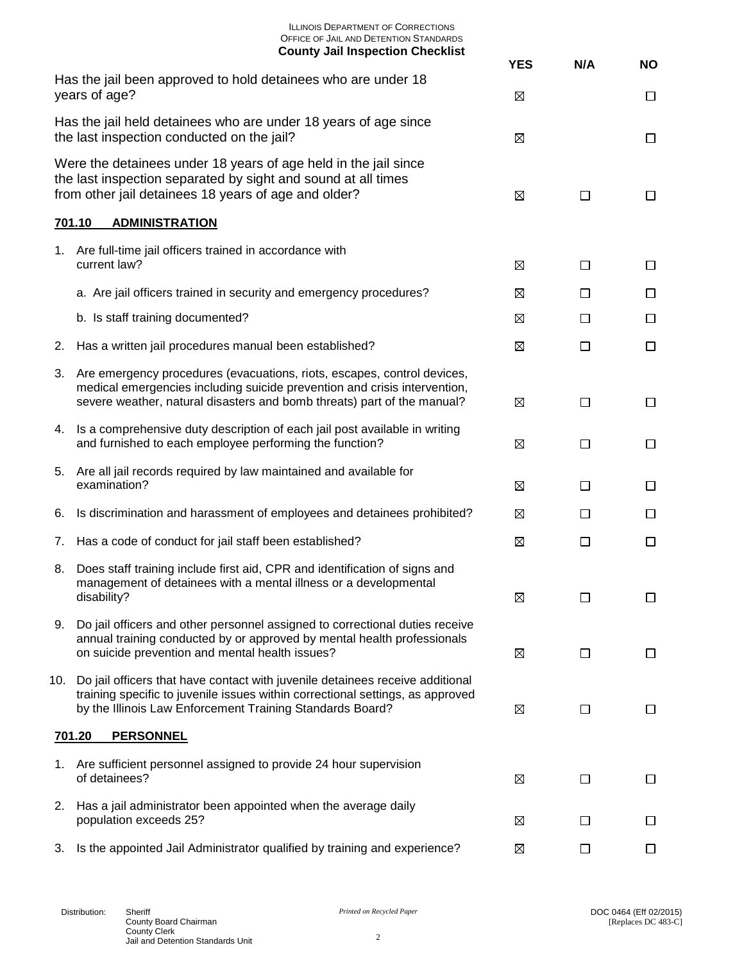|     | <b>ILLINOIS DEPARTMENT OF CORRECTIONS</b><br>OFFICE OF JAIL AND DETENTION STANDARDS<br><b>County Jail Inspection Checklist</b>                                                                                                  |            |         |           |
|-----|---------------------------------------------------------------------------------------------------------------------------------------------------------------------------------------------------------------------------------|------------|---------|-----------|
|     | Has the jail been approved to hold detainees who are under 18                                                                                                                                                                   | <b>YES</b> | N/A     | <b>NO</b> |
|     | years of age?                                                                                                                                                                                                                   | ⊠          |         | $\Box$    |
|     | Has the jail held detainees who are under 18 years of age since<br>the last inspection conducted on the jail?                                                                                                                   | ⊠          |         | l 1       |
|     | Were the detainees under 18 years of age held in the jail since<br>the last inspection separated by sight and sound at all times<br>from other jail detainees 18 years of age and older?                                        | ⊠          | П       | ப         |
|     | 701.10<br><b>ADMINISTRATION</b>                                                                                                                                                                                                 |            |         |           |
|     | 1. Are full-time jail officers trained in accordance with<br>current law?                                                                                                                                                       | ⊠          | $\Box$  | ப         |
|     | a. Are jail officers trained in security and emergency procedures?                                                                                                                                                              | ⊠          | П       | П         |
|     | b. Is staff training documented?                                                                                                                                                                                                | ⊠          | П       | $\perp$   |
| 2.  | Has a written jail procedures manual been established?                                                                                                                                                                          | ⊠          | П       | $\Box$    |
| 3.  | Are emergency procedures (evacuations, riots, escapes, control devices,<br>medical emergencies including suicide prevention and crisis intervention,<br>severe weather, natural disasters and bomb threats) part of the manual? | ⊠          | П       | П         |
|     | 4. Is a comprehensive duty description of each jail post available in writing<br>and furnished to each employee performing the function?                                                                                        | ⊠          | □       | ⊔         |
|     | 5. Are all jail records required by law maintained and available for<br>examination?                                                                                                                                            | ⊠          | П       | $\Box$    |
| 6.  | Is discrimination and harassment of employees and detainees prohibited?                                                                                                                                                         | ⊠          | П       | $\Box$    |
| 7.  | Has a code of conduct for jail staff been established?                                                                                                                                                                          | ⊠          | П       | $\Box$    |
| 8.  | Does staff training include first aid, CPR and identification of signs and<br>management of detainees with a mental illness or a developmental<br>disability?                                                                   | ⊠          | $\Box$  | ப         |
| 9.  | Do jail officers and other personnel assigned to correctional duties receive<br>annual training conducted by or approved by mental health professionals<br>on suicide prevention and mental health issues?                      | ⊠          | П       | $\Box$    |
| 10. | Do jail officers that have contact with juvenile detainees receive additional<br>training specific to juvenile issues within correctional settings, as approved<br>by the Illinois Law Enforcement Training Standards Board?    | ⊠          | П       | ப         |
|     | <b>PERSONNEL</b><br>701.20                                                                                                                                                                                                      |            |         |           |
| 1.  | Are sufficient personnel assigned to provide 24 hour supervision<br>of detainees?                                                                                                                                               | ⊠          | l 1     | ΙI        |
| 2.  | Has a jail administrator been appointed when the average daily<br>population exceeds 25?                                                                                                                                        | ⊠          | $\perp$ | $\perp$   |
| 3.  | Is the appointed Jail Administrator qualified by training and experience?                                                                                                                                                       | ⊠          | □       | $\perp$   |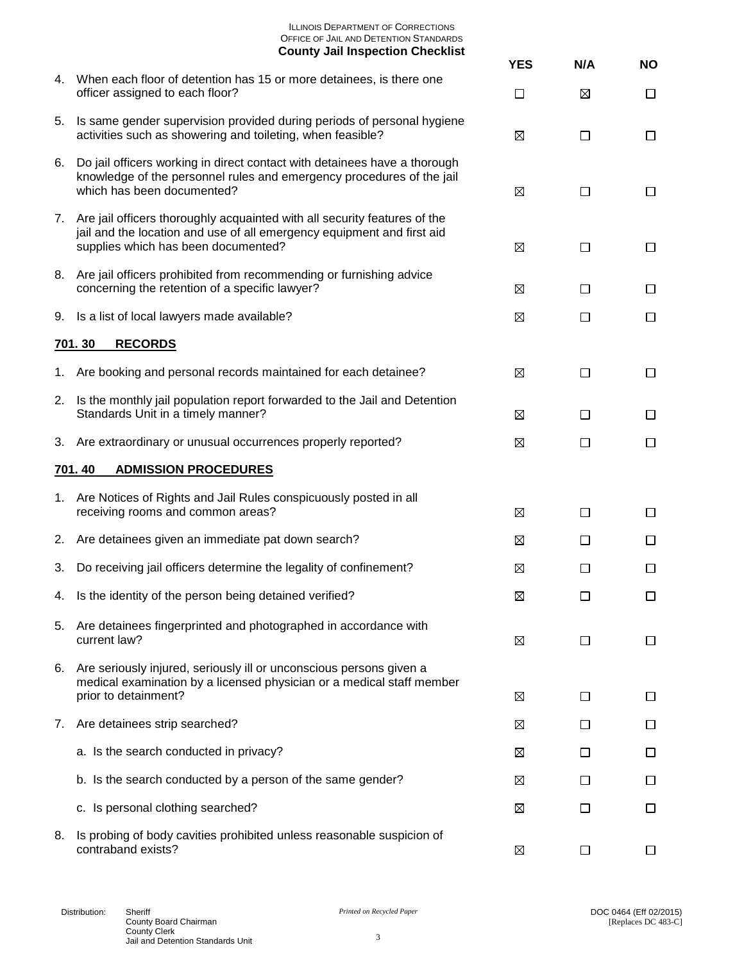|    | <b>ILLINOIS DEPARTMENT OF CORRECTIONS</b><br>OFFICE OF JAIL AND DETENTION STANDARDS<br><b>County Jail Inspection Checklist</b>                                                                |            |              |           |
|----|-----------------------------------------------------------------------------------------------------------------------------------------------------------------------------------------------|------------|--------------|-----------|
|    | 4. When each floor of detention has 15 or more detainees, is there one                                                                                                                        | <b>YES</b> | N/A          | <b>NO</b> |
|    | officer assigned to each floor?                                                                                                                                                               | □          | ⊠            | ப         |
| 5. | Is same gender supervision provided during periods of personal hygiene<br>activities such as showering and toileting, when feasible?                                                          | ⊠          | П            | □         |
| 6. | Do jail officers working in direct contact with detainees have a thorough<br>knowledge of the personnel rules and emergency procedures of the jail<br>which has been documented?              | ⊠          | П            | П         |
|    | 7. Are jail officers thoroughly acquainted with all security features of the<br>jail and the location and use of all emergency equipment and first aid<br>supplies which has been documented? | ⊠          | $\Box$       | ப         |
|    | 8. Are jail officers prohibited from recommending or furnishing advice<br>concerning the retention of a specific lawyer?                                                                      | ⊠          | □            | □         |
| 9. | Is a list of local lawyers made available?                                                                                                                                                    | ⊠          | П            | П         |
|    | <b>RECORDS</b><br><u>701.30</u>                                                                                                                                                               |            |              |           |
| 1. | Are booking and personal records maintained for each detainee?                                                                                                                                | ⊠          | □            | Ш         |
|    | 2. Is the monthly jail population report forwarded to the Jail and Detention<br>Standards Unit in a timely manner?                                                                            | ⊠          | $\Box$       | $\Box$    |
|    | 3. Are extraordinary or unusual occurrences properly reported?                                                                                                                                | ⊠          | П            | $\Box$    |
|    | 701.40<br><b>ADMISSION PROCEDURES</b>                                                                                                                                                         |            |              |           |
|    | 1. Are Notices of Rights and Jail Rules conspicuously posted in all<br>receiving rooms and common areas?                                                                                      | ⊠          | □            | ⊔         |
|    | 2. Are detainees given an immediate pat down search?                                                                                                                                          | ⊠          | $\Box$       | $\Box$    |
| 3. | Do receiving jail officers determine the legality of confinement?                                                                                                                             | ⊠          |              | $\Box$    |
| 4. | Is the identity of the person being detained verified?                                                                                                                                        | ⊠          | П            | $\sqcup$  |
| 5. | Are detainees fingerprinted and photographed in accordance with<br>current law?                                                                                                               | ⊠          | □            | ப         |
| 6. | Are seriously injured, seriously ill or unconscious persons given a<br>medical examination by a licensed physician or a medical staff member<br>prior to detainment?                          | ⊠          | П            | $\Box$    |
| 7. | Are detainees strip searched?                                                                                                                                                                 | ⊠          | $\perp$      | ப         |
|    | a. Is the search conducted in privacy?                                                                                                                                                        | ⊠          | П            | ப         |
|    | b. Is the search conducted by a person of the same gender?                                                                                                                                    | ⊠          | П            | ப         |
|    | c. Is personal clothing searched?                                                                                                                                                             | ⊠          | $\mathsf{L}$ | ப         |
| 8. | Is probing of body cavities prohibited unless reasonable suspicion of<br>contraband exists?                                                                                                   | ⊠          | □            | $\Box$    |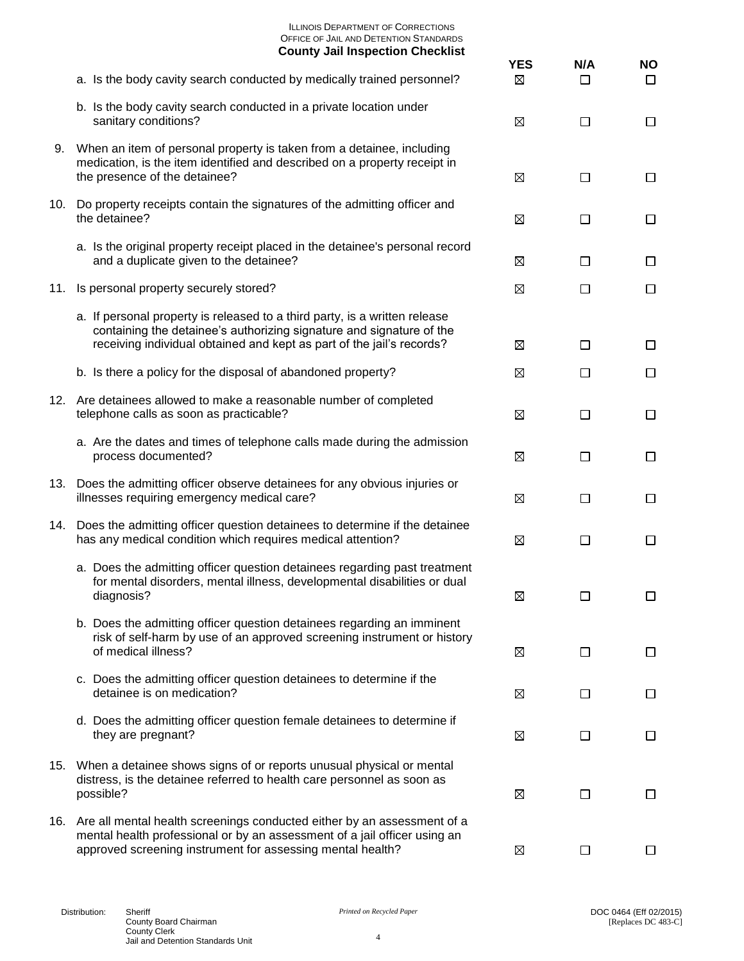| a. Is the body cavity search conducted by medically trained personnel?<br>b. Is the body cavity search conducted in a private location under                                                                                | <b>YES</b><br>⊠ | N/A<br>$\overline{\phantom{a}}$ | <b>NO</b><br>Ш |
|-----------------------------------------------------------------------------------------------------------------------------------------------------------------------------------------------------------------------------|-----------------|---------------------------------|----------------|
|                                                                                                                                                                                                                             |                 |                                 |                |
| sanitary conditions?                                                                                                                                                                                                        | ⊠               | $\Box$                          | □              |
| 9. When an item of personal property is taken from a detainee, including<br>medication, is the item identified and described on a property receipt in<br>the presence of the detainee?                                      | ⊠               | □                               | $\Box$         |
| 10. Do property receipts contain the signatures of the admitting officer and<br>the detainee?                                                                                                                               | ⊠               | $\Box$                          | □              |
| a. Is the original property receipt placed in the detainee's personal record<br>and a duplicate given to the detainee?                                                                                                      | ⊠               | □                               | ப              |
| 11. Is personal property securely stored?                                                                                                                                                                                   | ⊠               | □                               | □              |
| a. If personal property is released to a third party, is a written release<br>containing the detainee's authorizing signature and signature of the<br>receiving individual obtained and kept as part of the jail's records? | ⊠               | □                               | Ш              |
| b. Is there a policy for the disposal of abandoned property?                                                                                                                                                                | ⊠               | П                               | □              |
| 12. Are detainees allowed to make a reasonable number of completed<br>telephone calls as soon as practicable?                                                                                                               | ⊠               | П                               | $\Box$         |
| a. Are the dates and times of telephone calls made during the admission<br>process documented?                                                                                                                              | ⊠               | П                               | □              |
| 13. Does the admitting officer observe detainees for any obvious injuries or<br>illnesses requiring emergency medical care?                                                                                                 | ⊠               | □                               | □              |
| 14. Does the admitting officer question detainees to determine if the detainee<br>has any medical condition which requires medical attention?                                                                               | ⊠               | П                               | □              |
| a. Does the admitting officer question detainees regarding past treatment<br>for mental disorders, mental illness, developmental disabilities or dual<br>diagnosis?                                                         | ⊠               | H                               |                |
| b. Does the admitting officer question detainees regarding an imminent<br>risk of self-harm by use of an approved screening instrument or history<br>of medical illness?                                                    | ⊠               | $\Box$                          | □              |
| c. Does the admitting officer question detainees to determine if the<br>detainee is on medication?                                                                                                                          | ⊠               | $\Box$                          | LΙ             |
| d. Does the admitting officer question female detainees to determine if<br>they are pregnant?                                                                                                                               | ⊠               | $\Box$                          | $\Box$         |
| 15. When a detainee shows signs of or reports unusual physical or mental<br>distress, is the detainee referred to health care personnel as soon as<br>possible?                                                             | ⊠               | П                               | $\Box$         |
| 16. Are all mental health screenings conducted either by an assessment of a<br>mental health professional or by an assessment of a jail officer using an<br>approved screening instrument for assessing mental health?      | ⊠               | $\Box$                          | $\Box$         |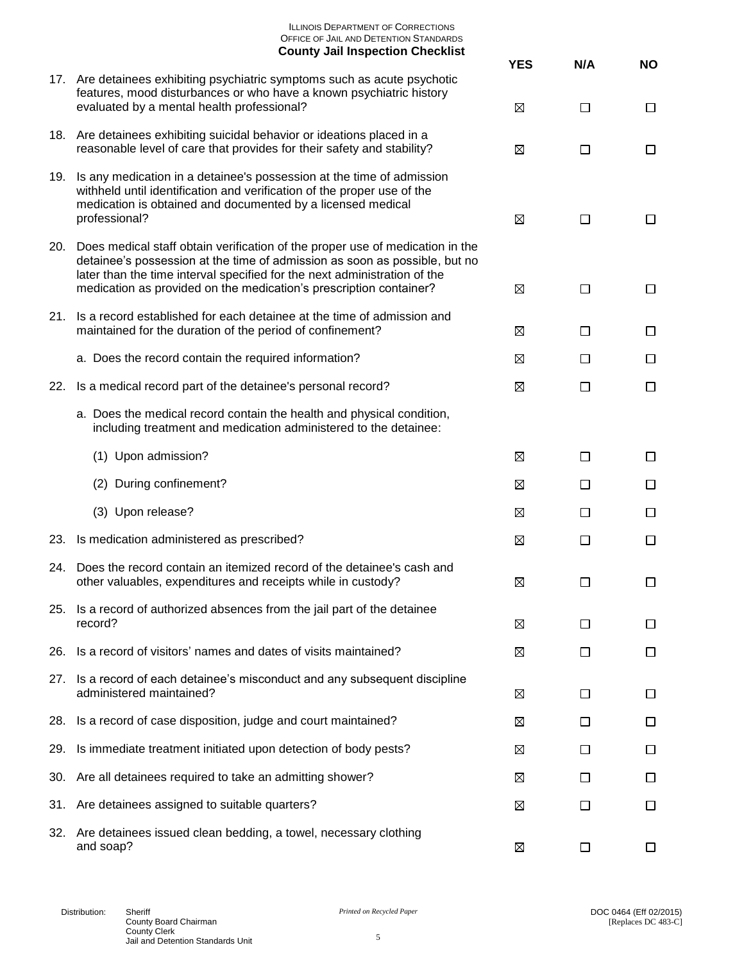|     |                                                                                                                                                                                                                                                                                                                | <b>YES</b>  | N/A    | <b>NO</b> |
|-----|----------------------------------------------------------------------------------------------------------------------------------------------------------------------------------------------------------------------------------------------------------------------------------------------------------------|-------------|--------|-----------|
|     | 17. Are detainees exhibiting psychiatric symptoms such as acute psychotic<br>features, mood disturbances or who have a known psychiatric history<br>evaluated by a mental health professional?                                                                                                                 | ⊠           | П      | □         |
|     | 18. Are detainees exhibiting suicidal behavior or ideations placed in a<br>reasonable level of care that provides for their safety and stability?                                                                                                                                                              | ⊠           | $\Box$ | □         |
| 19. | Is any medication in a detainee's possession at the time of admission<br>withheld until identification and verification of the proper use of the<br>medication is obtained and documented by a licensed medical<br>professional?                                                                               | $\boxtimes$ | $\Box$ | $\Box$    |
| 20. | Does medical staff obtain verification of the proper use of medication in the<br>detainee's possession at the time of admission as soon as possible, but no<br>later than the time interval specified for the next administration of the<br>medication as provided on the medication's prescription container? | ⊠           | П      | □         |
| 21. | Is a record established for each detainee at the time of admission and<br>maintained for the duration of the period of confinement?                                                                                                                                                                            | ⊠           | □      | $\Box$    |
|     | a. Does the record contain the required information?                                                                                                                                                                                                                                                           | ⊠           | П      | П         |
| 22. | Is a medical record part of the detainee's personal record?                                                                                                                                                                                                                                                    | ⊠           | $\Box$ | $\Box$    |
|     | a. Does the medical record contain the health and physical condition,<br>including treatment and medication administered to the detainee:                                                                                                                                                                      |             |        |           |
|     | (1) Upon admission?                                                                                                                                                                                                                                                                                            | ⊠           | $\Box$ | ப         |
|     | (2) During confinement?                                                                                                                                                                                                                                                                                        | ⊠           | П      | □         |
|     | (3) Upon release?                                                                                                                                                                                                                                                                                              | ⊠           | □      | ப         |
| 23. | Is medication administered as prescribed?                                                                                                                                                                                                                                                                      | ⊠           | □      | $\Box$    |
| 24. | Does the record contain an itemized record of the detainee's cash and<br>other valuables, expenditures and receipts while in custody?                                                                                                                                                                          | ⊠           | $\Box$ | $\Box$    |
|     | 25. Is a record of authorized absences from the jail part of the detainee<br>record?                                                                                                                                                                                                                           | ⊠           | $\Box$ | $\Box$    |
| 26. | Is a record of visitors' names and dates of visits maintained?                                                                                                                                                                                                                                                 | ⊠           | П      | □         |
| 27. | Is a record of each detainee's misconduct and any subsequent discipline<br>administered maintained?                                                                                                                                                                                                            | ⊠           | $\Box$ | $\Box$    |
| 28. | Is a record of case disposition, judge and court maintained?                                                                                                                                                                                                                                                   | ⊠           | □      | □         |
| 29. | Is immediate treatment initiated upon detection of body pests?                                                                                                                                                                                                                                                 | ⊠           | $\Box$ | ⊔         |
| 30. | Are all detainees required to take an admitting shower?                                                                                                                                                                                                                                                        | ⊠           | П      | ப         |
| 31. | Are detainees assigned to suitable quarters?                                                                                                                                                                                                                                                                   | ⊠           | П      | □         |
| 32. | Are detainees issued clean bedding, a towel, necessary clothing<br>and soap?                                                                                                                                                                                                                                   | ⊠           | П      | $\perp$   |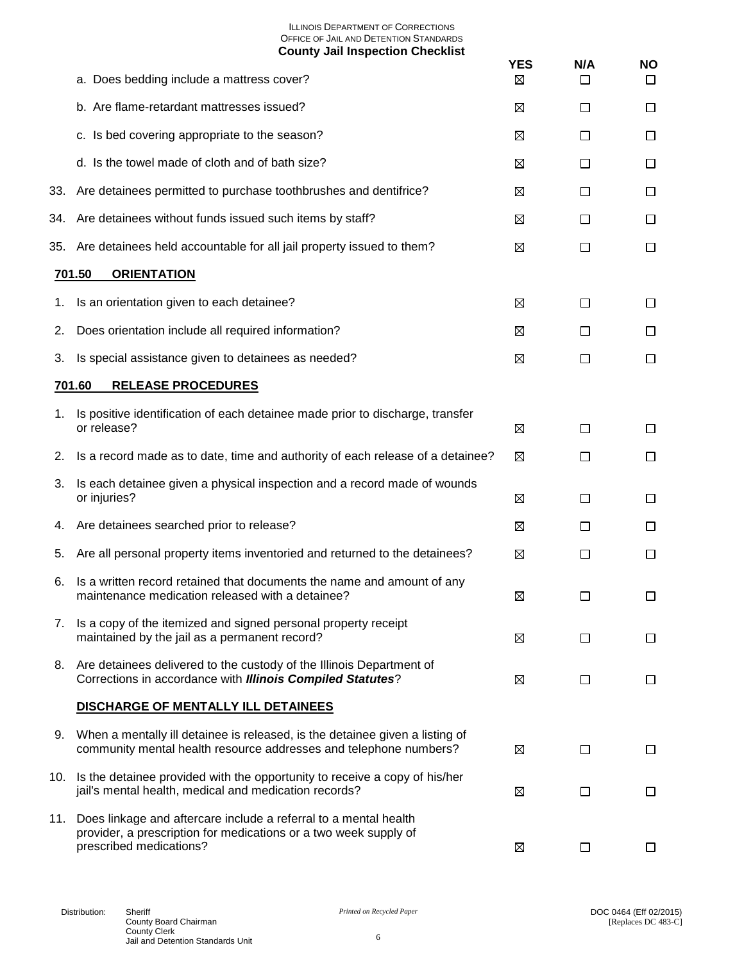|     |                                                                                                                                                                 | <b>YES</b> | N/A                      | <b>NO</b> |
|-----|-----------------------------------------------------------------------------------------------------------------------------------------------------------------|------------|--------------------------|-----------|
|     | a. Does bedding include a mattress cover?                                                                                                                       | ⊠          | $\overline{\phantom{a}}$ | ப         |
|     | b. Are flame-retardant mattresses issued?                                                                                                                       | ⊠          | □                        | □         |
|     | c. Is bed covering appropriate to the season?                                                                                                                   | ⊠          | $\Box$                   | □         |
|     | d. Is the towel made of cloth and of bath size?                                                                                                                 | ⊠          | $\Box$                   | □         |
| 33. | Are detainees permitted to purchase toothbrushes and dentifrice?                                                                                                | ⊠          | □                        | $\Box$    |
|     | 34. Are detainees without funds issued such items by staff?                                                                                                     | ⊠          | $\Box$                   | ப         |
|     | 35. Are detainees held accountable for all jail property issued to them?                                                                                        | ⊠          | □                        | $\Box$    |
|     | 701.50<br><b>ORIENTATION</b>                                                                                                                                    |            |                          |           |
| 1.  | Is an orientation given to each detainee?                                                                                                                       | ⊠          | $\Box$                   | ப         |
| 2.  | Does orientation include all required information?                                                                                                              | ⊠          | □                        | $\Box$    |
| 3.  | Is special assistance given to detainees as needed?                                                                                                             | ⊠          | П                        | □         |
|     | 701.60<br><b>RELEASE PROCEDURES</b>                                                                                                                             |            |                          |           |
| 1.  | Is positive identification of each detainee made prior to discharge, transfer<br>or release?                                                                    | ⊠          | П                        | ⊔         |
| 2.  | Is a record made as to date, time and authority of each release of a detainee?                                                                                  | ⊠          | П                        | □         |
| 3.  | Is each detainee given a physical inspection and a record made of wounds<br>or injuries?                                                                        | ⊠          | □                        | $\Box$    |
| 4.  | Are detainees searched prior to release?                                                                                                                        | ⊠          | □                        | $\Box$    |
| 5.  | Are all personal property items inventoried and returned to the detainees?                                                                                      | ⊠          | □                        | ப         |
| 6.  | Is a written record retained that documents the name and amount of any<br>maintenance medication released with a detainee?                                      | ⊠          | l 1                      | l 1       |
|     | 7. Is a copy of the itemized and signed personal property receipt<br>maintained by the jail as a permanent record?                                              | ⊠          | $\perp$                  | $\Box$    |
|     | 8. Are detainees delivered to the custody of the Illinois Department of<br>Corrections in accordance with Illinois Compiled Statutes?                           | ⊠          | П                        | $\perp$   |
|     | DISCHARGE OF MENTALLY ILL DETAINEES                                                                                                                             |            |                          |           |
|     | 9. When a mentally ill detainee is released, is the detainee given a listing of<br>community mental health resource addresses and telephone numbers?            | ⊠          | □                        | ⊔         |
|     | 10. Is the detainee provided with the opportunity to receive a copy of his/her<br>jail's mental health, medical and medication records?                         | ⊠          | □                        | □         |
| 11. | Does linkage and aftercare include a referral to a mental health<br>provider, a prescription for medications or a two week supply of<br>prescribed medications? | ⊠          | П                        |           |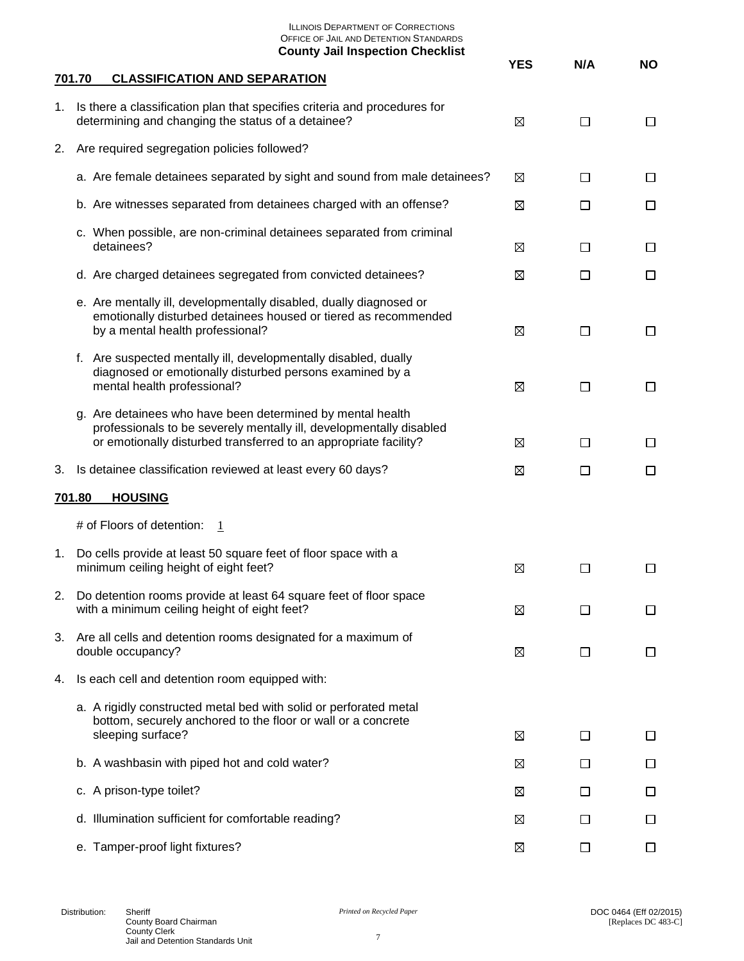|    | <b>ILLINOIS DEPARTMENT OF CORRECTIONS</b><br>OFFICE OF JAIL AND DETENTION STANDARDS<br><b>County Jail Inspection Checklist</b>                                                                        | <b>YES</b>  | N/A    | <b>NO</b> |
|----|-------------------------------------------------------------------------------------------------------------------------------------------------------------------------------------------------------|-------------|--------|-----------|
|    | 701.70<br><b>CLASSIFICATION AND SEPARATION</b>                                                                                                                                                        |             |        |           |
|    | 1. Is there a classification plan that specifies criteria and procedures for<br>determining and changing the status of a detainee?                                                                    | $\boxtimes$ | $\Box$ | □         |
| 2. | Are required segregation policies followed?                                                                                                                                                           |             |        |           |
|    | a. Are female detainees separated by sight and sound from male detainees?                                                                                                                             | ⊠           | $\Box$ | □         |
|    | b. Are witnesses separated from detainees charged with an offense?                                                                                                                                    | ⊠           | П      | □         |
|    | c. When possible, are non-criminal detainees separated from criminal<br>detainees?                                                                                                                    | ⊠           | □      | $\Box$    |
|    | d. Are charged detainees segregated from convicted detainees?                                                                                                                                         | ⊠           | П      | □         |
|    | e. Are mentally ill, developmentally disabled, dually diagnosed or<br>emotionally disturbed detainees housed or tiered as recommended<br>by a mental health professional?                             | ⊠           | $\Box$ | $\Box$    |
|    | f. Are suspected mentally ill, developmentally disabled, dually<br>diagnosed or emotionally disturbed persons examined by a<br>mental health professional?                                            | ⊠           | $\Box$ | $\Box$    |
|    | g. Are detainees who have been determined by mental health<br>professionals to be severely mentally ill, developmentally disabled<br>or emotionally disturbed transferred to an appropriate facility? | ⊠           | □      | $\Box$    |
| 3. | Is detainee classification reviewed at least every 60 days?                                                                                                                                           | ⊠           | П      | □         |
|    | 701.80<br><b>HOUSING</b>                                                                                                                                                                              |             |        |           |
|    | # of Floors of detention:<br>$\perp$                                                                                                                                                                  |             |        |           |
| 1. | Do cells provide at least 50 square feet of floor space with a<br>minimum ceiling height of eight feet?                                                                                               | ⊠           | П      | □         |
| 2. | Do detention rooms provide at least 64 square feet of floor space<br>with a minimum ceiling height of eight feet?                                                                                     | ⊠           | $\Box$ | □         |
| 3. | Are all cells and detention rooms designated for a maximum of<br>double occupancy?                                                                                                                    | ⊠           | П      | $\Box$    |
| 4. | Is each cell and detention room equipped with:                                                                                                                                                        |             |        |           |
|    | a. A rigidly constructed metal bed with solid or perforated metal<br>bottom, securely anchored to the floor or wall or a concrete<br>sleeping surface?                                                | ⊠           | $\Box$ | $\Box$    |
|    | b. A washbasin with piped hot and cold water?                                                                                                                                                         | ⊠           | $\Box$ | $\Box$    |
|    | c. A prison-type toilet?                                                                                                                                                                              | ⊠           | Ш      | ப         |
|    | d. Illumination sufficient for comfortable reading?                                                                                                                                                   | ⊠           | П      | $\Box$    |
|    | e. Tamper-proof light fixtures?                                                                                                                                                                       | ⊠           | □      | ப         |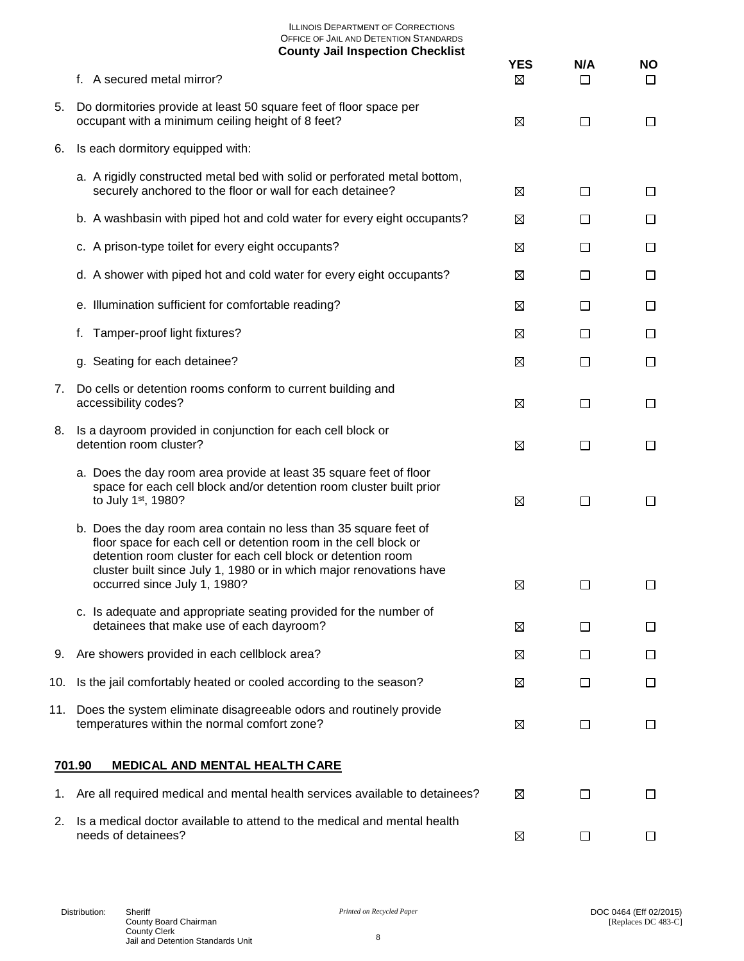|     |                                                                                                                                                                                                                                                                                                             | <b>YES</b>  | N/A    | <b>NO</b> |
|-----|-------------------------------------------------------------------------------------------------------------------------------------------------------------------------------------------------------------------------------------------------------------------------------------------------------------|-------------|--------|-----------|
|     | f. A secured metal mirror?                                                                                                                                                                                                                                                                                  | ⊠           | $\Box$ | □         |
| 5.  | Do dormitories provide at least 50 square feet of floor space per<br>occupant with a minimum ceiling height of 8 feet?                                                                                                                                                                                      | ⊠           | □      | □         |
| 6.  | Is each dormitory equipped with:                                                                                                                                                                                                                                                                            |             |        |           |
|     | a. A rigidly constructed metal bed with solid or perforated metal bottom,<br>securely anchored to the floor or wall for each detainee?                                                                                                                                                                      | ⊠           | $\Box$ | □         |
|     | b. A washbasin with piped hot and cold water for every eight occupants?                                                                                                                                                                                                                                     | ⊠           | $\Box$ | $\Box$    |
|     | c. A prison-type toilet for every eight occupants?                                                                                                                                                                                                                                                          | ⊠           | □      | □         |
|     | d. A shower with piped hot and cold water for every eight occupants?                                                                                                                                                                                                                                        | ⊠           | □      | $\Box$    |
|     | e. Illumination sufficient for comfortable reading?                                                                                                                                                                                                                                                         | ⊠           | □      | $\Box$    |
|     | Tamper-proof light fixtures?<br>f.                                                                                                                                                                                                                                                                          | ⊠           | □      | $\Box$    |
|     | g. Seating for each detainee?                                                                                                                                                                                                                                                                               | ⊠           | □      | $\Box$    |
| 7.  | Do cells or detention rooms conform to current building and<br>accessibility codes?                                                                                                                                                                                                                         | ⊠           | □      | $\Box$    |
| 8.  | Is a dayroom provided in conjunction for each cell block or<br>detention room cluster?                                                                                                                                                                                                                      | ⊠           | □      | $\Box$    |
|     | a. Does the day room area provide at least 35 square feet of floor<br>space for each cell block and/or detention room cluster built prior<br>to July 1st, 1980?                                                                                                                                             | $\boxtimes$ | □      | $\Box$    |
|     | b. Does the day room area contain no less than 35 square feet of<br>floor space for each cell or detention room in the cell block or<br>detention room cluster for each cell block or detention room<br>cluster built since July 1, 1980 or in which major renovations have<br>occurred since July 1, 1980? | ⊠           | □      | □         |
|     | c. Is adequate and appropriate seating provided for the number of<br>detainees that make use of each dayroom?                                                                                                                                                                                               | ⊠           | $\Box$ | ப         |
| 9.  | Are showers provided in each cellblock area?                                                                                                                                                                                                                                                                | ⊠           | ⊔      | ப         |
| 10. | Is the jail comfortably heated or cooled according to the season?                                                                                                                                                                                                                                           | ⊠           | $\Box$ | $\Box$    |
| 11. | Does the system eliminate disagreeable odors and routinely provide                                                                                                                                                                                                                                          |             |        |           |
|     | temperatures within the normal comfort zone?                                                                                                                                                                                                                                                                | ⊠           | □      | □         |
|     | <b>MEDICAL AND MENTAL HEALTH CARE</b><br>701.90                                                                                                                                                                                                                                                             |             |        |           |
| 1.  | Are all required medical and mental health services available to detainees?                                                                                                                                                                                                                                 | ⊠           | $\Box$ | $\Box$    |
| 2.  | Is a medical doctor available to attend to the medical and mental health<br>needs of detainees?                                                                                                                                                                                                             | ⊠           | П      |           |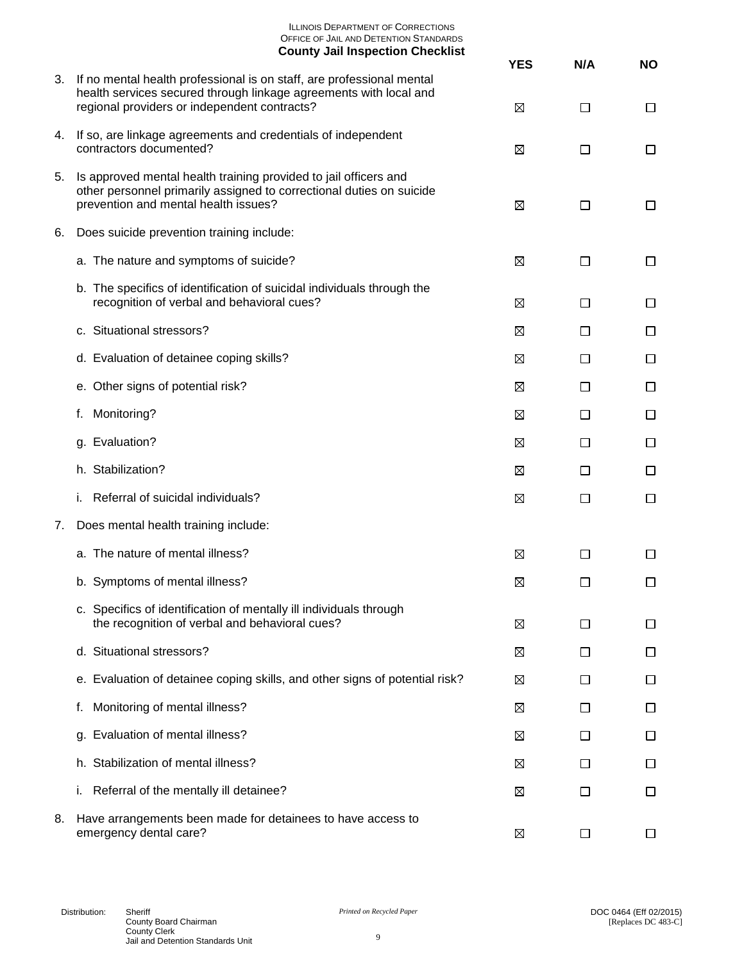|    | <b>ILLINOIS DEPARTMENT OF CORRECTIONS</b><br>OFFICE OF JAIL AND DETENTION STANDARDS<br><b>County Jail Inspection Checklist</b>                                                             | <b>YES</b> | N/A     | <b>NO</b> |
|----|--------------------------------------------------------------------------------------------------------------------------------------------------------------------------------------------|------------|---------|-----------|
| 3. | If no mental health professional is on staff, are professional mental<br>health services secured through linkage agreements with local and<br>regional providers or independent contracts? | ⊠          | П       | □         |
| 4. | If so, are linkage agreements and credentials of independent<br>contractors documented?                                                                                                    | ⊠          | П       | $\Box$    |
| 5. | Is approved mental health training provided to jail officers and<br>other personnel primarily assigned to correctional duties on suicide<br>prevention and mental health issues?           | ⊠          | □       | □         |
| 6. | Does suicide prevention training include:                                                                                                                                                  |            |         |           |
|    | a. The nature and symptoms of suicide?                                                                                                                                                     | ⊠          | □       | □         |
|    | b. The specifics of identification of suicidal individuals through the<br>recognition of verbal and behavioral cues?                                                                       | ⊠          | $\Box$  | $\Box$    |
|    | c. Situational stressors?                                                                                                                                                                  | ⊠          | П       | □         |
|    | d. Evaluation of detainee coping skills?                                                                                                                                                   | ⊠          | П       | □         |
|    | e. Other signs of potential risk?                                                                                                                                                          | ⊠          | $\Box$  | $\Box$    |
|    | Monitoring?<br>f.                                                                                                                                                                          | ⊠          | $\Box$  | □         |
|    | g. Evaluation?                                                                                                                                                                             | ⊠          | П       | □         |
|    | h. Stabilization?                                                                                                                                                                          | ⊠          | П       | $\Box$    |
|    | Referral of suicidal individuals?<br>i.                                                                                                                                                    | ⊠          | □       | $\Box$    |
| 7. | Does mental health training include:                                                                                                                                                       |            |         |           |
|    | a. The nature of mental illness?                                                                                                                                                           | ⊠          | П       | □         |
|    | b. Symptoms of mental illness?                                                                                                                                                             | ⊠          | П       | □         |
|    | c. Specifics of identification of mentally ill individuals through<br>the recognition of verbal and behavioral cues?                                                                       | ⊠          | П       | □         |
|    | d. Situational stressors?                                                                                                                                                                  | ⊠          | П       | $\Box$    |
|    | e. Evaluation of detainee coping skills, and other signs of potential risk?                                                                                                                | ⊠          | П       | □         |
|    | Monitoring of mental illness?<br>t.                                                                                                                                                        | ⊠          | $\Box$  | $\Box$    |
|    | Evaluation of mental illness?<br>g.                                                                                                                                                        | ⊠          | П       | □         |
|    | h. Stabilization of mental illness?                                                                                                                                                        | ⊠          | $\perp$ | ப         |
|    | Referral of the mentally ill detainee?<br>Ĺ.                                                                                                                                               | ⊠          | П       | $\Box$    |
| 8. | Have arrangements been made for detainees to have access to<br>emergency dental care?                                                                                                      | ⊠          | $\Box$  | $\Box$    |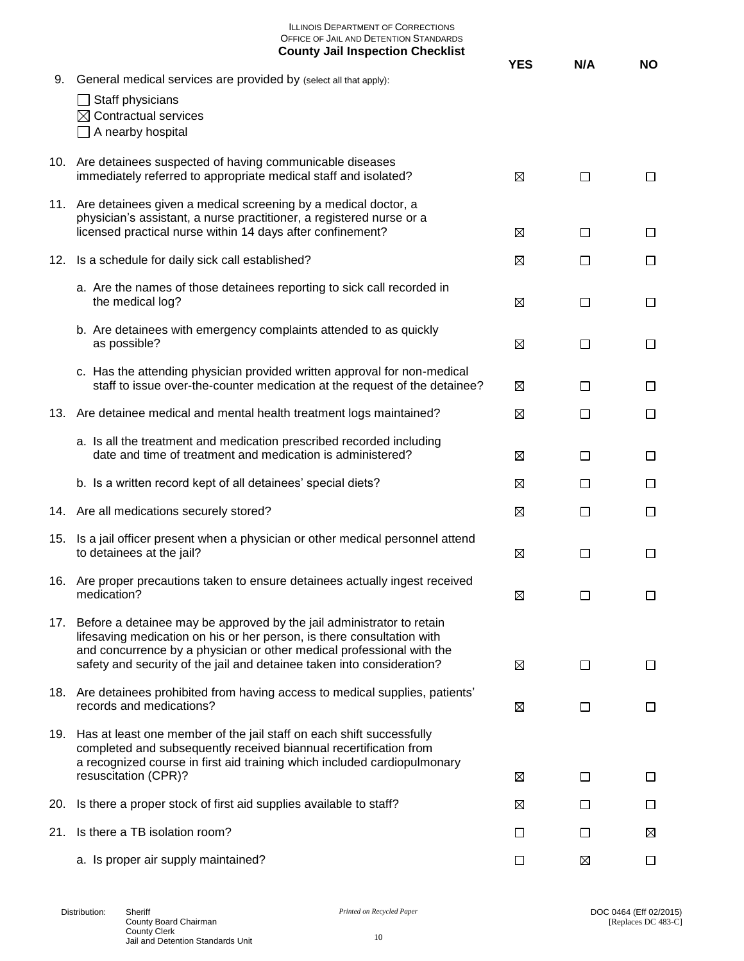|     | <b>ILLINOIS DEPARTMENT OF CORRECTIONS</b><br>OFFICE OF JAIL AND DETENTION STANDARDS<br><b>County Jail Inspection Checklist</b>                                                                                                                                                                     |            |        |              |
|-----|----------------------------------------------------------------------------------------------------------------------------------------------------------------------------------------------------------------------------------------------------------------------------------------------------|------------|--------|--------------|
| 9.  | General medical services are provided by (select all that apply):                                                                                                                                                                                                                                  | <b>YES</b> | N/A    | NΟ           |
|     | Staff physicians<br>$\boxtimes$ Contractual services<br>A nearby hospital                                                                                                                                                                                                                          |            |        |              |
|     | 10. Are detainees suspected of having communicable diseases<br>immediately referred to appropriate medical staff and isolated?                                                                                                                                                                     | ⊠          | □      | $\Box$       |
|     | 11. Are detainees given a medical screening by a medical doctor, a<br>physician's assistant, a nurse practitioner, a registered nurse or a<br>licensed practical nurse within 14 days after confinement?                                                                                           | ⊠          | □      | $\mathsf{L}$ |
| 12. | Is a schedule for daily sick call established?                                                                                                                                                                                                                                                     | ⊠          | $\Box$ | □            |
|     | a. Are the names of those detainees reporting to sick call recorded in<br>the medical log?                                                                                                                                                                                                         | ⊠          | $\Box$ | $\Box$       |
|     | b. Are detainees with emergency complaints attended to as quickly<br>as possible?                                                                                                                                                                                                                  | ⊠          | $\Box$ | □            |
|     | c. Has the attending physician provided written approval for non-medical<br>staff to issue over-the-counter medication at the request of the detainee?                                                                                                                                             | ⊠          | □      | $\Box$       |
|     | 13. Are detainee medical and mental health treatment logs maintained?                                                                                                                                                                                                                              | ⊠          | П      | $\Box$       |
|     | a. Is all the treatment and medication prescribed recorded including<br>date and time of treatment and medication is administered?                                                                                                                                                                 | ⊠          | □      | ⊔            |
|     | b. Is a written record kept of all detainees' special diets?                                                                                                                                                                                                                                       | ⊠          | П      | $\mathsf{L}$ |
|     | 14. Are all medications securely stored?                                                                                                                                                                                                                                                           | ⊠          | П      | □            |
| 15. | Is a jail officer present when a physician or other medical personnel attend<br>to detainees at the jail?                                                                                                                                                                                          | ⊠          | $\Box$ | ⊔            |
|     | 16. Are proper precautions taken to ensure detainees actually ingest received<br>medication?                                                                                                                                                                                                       | ⊠          | П      | □            |
| 17. | Before a detainee may be approved by the jail administrator to retain<br>lifesaving medication on his or her person, is there consultation with<br>and concurrence by a physician or other medical professional with the<br>safety and security of the jail and detainee taken into consideration? | ⊠          | $\Box$ | $\Box$       |
|     | 18. Are detainees prohibited from having access to medical supplies, patients'<br>records and medications?                                                                                                                                                                                         | ⊠          | П      | ΙI           |
| 19. | Has at least one member of the jail staff on each shift successfully<br>completed and subsequently received biannual recertification from<br>a recognized course in first aid training which included cardiopulmonary<br>resuscitation (CPR)?                                                      | ⊠          | $\Box$ | □            |
| 20. | Is there a proper stock of first aid supplies available to staff?                                                                                                                                                                                                                                  | ⊠          | П      | $\Box$       |
| 21. | Is there a TB isolation room?                                                                                                                                                                                                                                                                      | $\Box$     | $\Box$ | ⊠            |
|     | a. Is proper air supply maintained?                                                                                                                                                                                                                                                                | П          | ⊠      |              |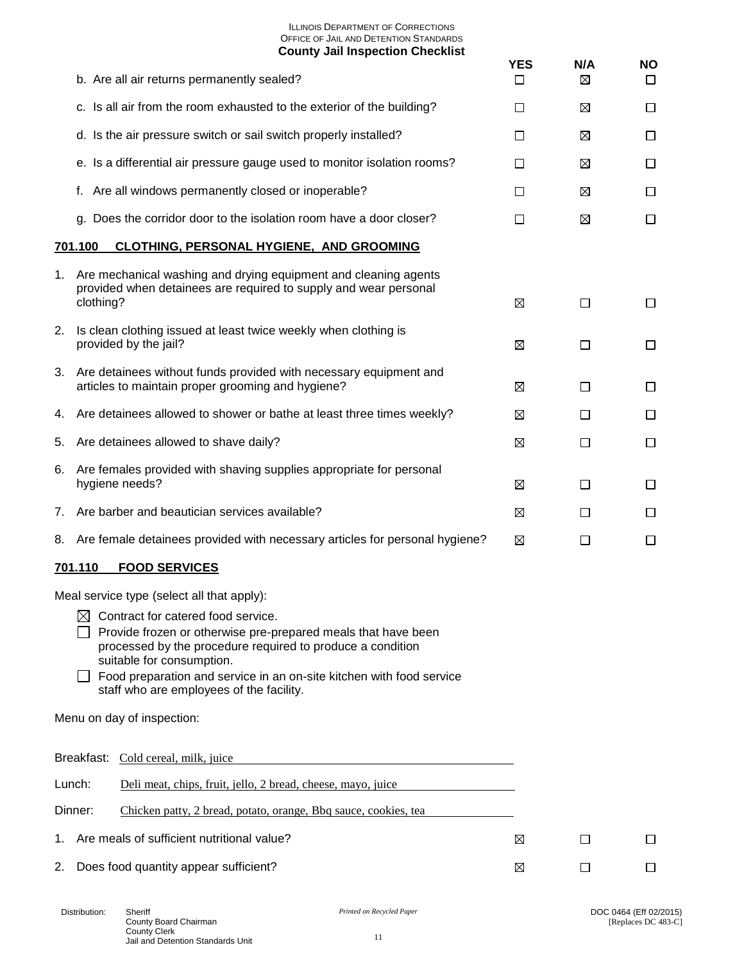|    |                                                                                                                                                                                                                                                                                                                              | <b>YES</b> | N/A    | <b>NO</b> |
|----|------------------------------------------------------------------------------------------------------------------------------------------------------------------------------------------------------------------------------------------------------------------------------------------------------------------------------|------------|--------|-----------|
|    | b. Are all air returns permanently sealed?                                                                                                                                                                                                                                                                                   | $\Box$     | ⊠      | □         |
|    | c. Is all air from the room exhausted to the exterior of the building?                                                                                                                                                                                                                                                       | $\Box$     | ⊠      | □         |
|    | d. Is the air pressure switch or sail switch properly installed?                                                                                                                                                                                                                                                             | □          | ⊠      | ப         |
|    | e. Is a differential air pressure gauge used to monitor isolation rooms?                                                                                                                                                                                                                                                     | П          | ⊠      | □         |
|    | Are all windows permanently closed or inoperable?<br>t.                                                                                                                                                                                                                                                                      | □          | ⊠      | □         |
|    | g. Does the corridor door to the isolation room have a door closer?                                                                                                                                                                                                                                                          | $\Box$     | ⊠      | □         |
|    | 701.100<br>CLOTHING, PERSONAL HYGIENE, AND GROOMING                                                                                                                                                                                                                                                                          |            |        |           |
| 1. | Are mechanical washing and drying equipment and cleaning agents<br>provided when detainees are required to supply and wear personal<br>clothing?                                                                                                                                                                             | ⊠          | □      | □         |
| 2. | Is clean clothing issued at least twice weekly when clothing is<br>provided by the jail?                                                                                                                                                                                                                                     | ⊠          | □      | □         |
| 3. | Are detainees without funds provided with necessary equipment and<br>articles to maintain proper grooming and hygiene?                                                                                                                                                                                                       | ⊠          | □      | □         |
| 4. | Are detainees allowed to shower or bathe at least three times weekly?                                                                                                                                                                                                                                                        | ⊠          | П      | □         |
| 5. | Are detainees allowed to shave daily?                                                                                                                                                                                                                                                                                        | ⊠          | □      | □         |
| 6. | Are females provided with shaving supplies appropriate for personal<br>hygiene needs?                                                                                                                                                                                                                                        | ⊠          | $\Box$ | □         |
| 7. | Are barber and beautician services available?                                                                                                                                                                                                                                                                                | ⊠          | ⊔      | ப         |
| 8. | Are female detainees provided with necessary articles for personal hygiene?                                                                                                                                                                                                                                                  | ⊠          | П      | □         |
|    | 701.110<br><b>FOOD SERVICES</b>                                                                                                                                                                                                                                                                                              |            |        |           |
|    | Meal service type (select all that apply):                                                                                                                                                                                                                                                                                   |            |        |           |
|    | $\bowtie$ Contract for catered food service.<br>Provide frozen or otherwise pre-prepared meals that have been<br>processed by the procedure required to produce a condition<br>suitable for consumption.<br>Food preparation and service in an on-site kitchen with food service<br>staff who are employees of the facility. |            |        |           |
|    | Menu on day of inspection:                                                                                                                                                                                                                                                                                                   |            |        |           |
|    | Breakfast: Cold cereal, milk, juice                                                                                                                                                                                                                                                                                          |            |        |           |
|    | Lunch:<br>Deli meat, chips, fruit, jello, 2 bread, cheese, mayo, juice                                                                                                                                                                                                                                                       |            |        |           |
|    | Dinner:<br>Chicken patty, 2 bread, potato, orange, Bbq sauce, cookies, tea                                                                                                                                                                                                                                                   |            |        |           |
| 1. | Are meals of sufficient nutritional value?                                                                                                                                                                                                                                                                                   | ⊠          | П      | $\Box$    |
| 2. | Does food quantity appear sufficient?                                                                                                                                                                                                                                                                                        | ⊠          | $\Box$ | ப         |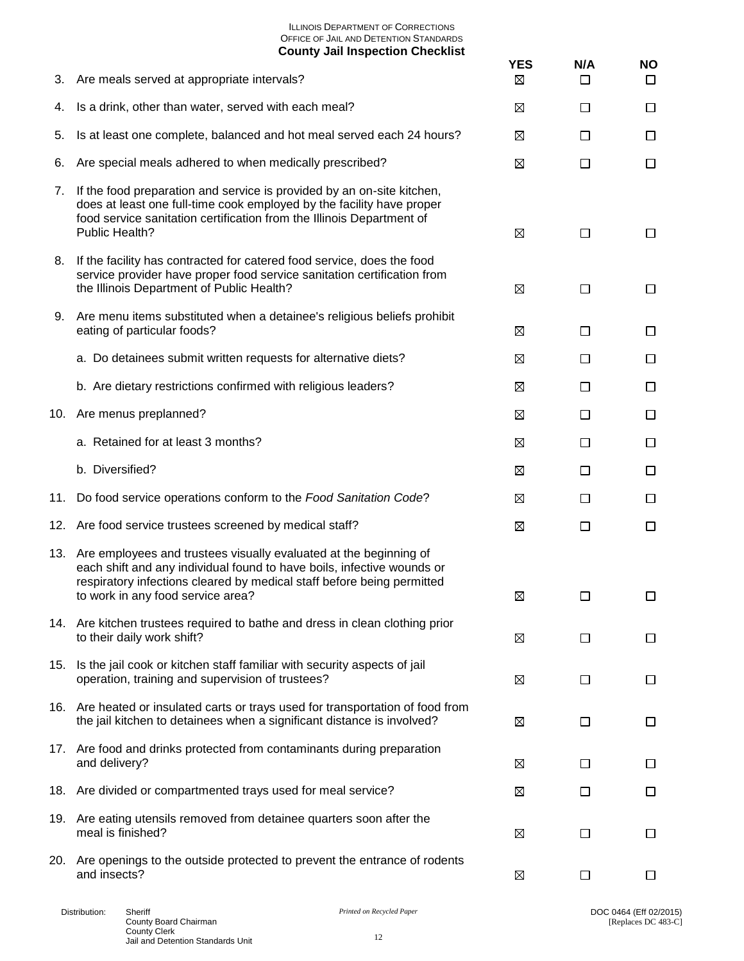| 3.  | Are meals served at appropriate intervals?                                                                                                                                                                                                                     | <b>YES</b><br>⊠ | N/A<br>$\Box$ | <b>NO</b><br>□ |
|-----|----------------------------------------------------------------------------------------------------------------------------------------------------------------------------------------------------------------------------------------------------------------|-----------------|---------------|----------------|
|     |                                                                                                                                                                                                                                                                |                 |               |                |
| 4.  | Is a drink, other than water, served with each meal?                                                                                                                                                                                                           | ⊠               | □             | $\Box$         |
| 5.  | Is at least one complete, balanced and hot meal served each 24 hours?                                                                                                                                                                                          | ⊠               | □             | □              |
| 6.  | Are special meals adhered to when medically prescribed?                                                                                                                                                                                                        | ⊠               | $\Box$        | □              |
| 7.  | If the food preparation and service is provided by an on-site kitchen,<br>does at least one full-time cook employed by the facility have proper<br>food service sanitation certification from the Illinois Department of<br>Public Health?                     | ⊠               | □             | □              |
| 8.  | If the facility has contracted for catered food service, does the food<br>service provider have proper food service sanitation certification from<br>the Illinois Department of Public Health?                                                                 | ⊠               | □             | □              |
| 9.  | Are menu items substituted when a detainee's religious beliefs prohibit<br>eating of particular foods?                                                                                                                                                         | ⊠               | □             | □              |
|     | a. Do detainees submit written requests for alternative diets?                                                                                                                                                                                                 | ⊠               | □             | □              |
|     | b. Are dietary restrictions confirmed with religious leaders?                                                                                                                                                                                                  | ⊠               | □             | ப              |
|     | 10. Are menus preplanned?                                                                                                                                                                                                                                      | ⊠               | $\Box$        | $\Box$         |
|     | a. Retained for at least 3 months?                                                                                                                                                                                                                             | ⊠               | □             | $\Box$         |
|     | b. Diversified?                                                                                                                                                                                                                                                | ⊠               | □             | □              |
| 11. | Do food service operations conform to the Food Sanitation Code?                                                                                                                                                                                                | ⊠               | □             | □              |
|     | 12. Are food service trustees screened by medical staff?                                                                                                                                                                                                       | ⊠               | $\Box$        | □              |
|     | 13. Are employees and trustees visually evaluated at the beginning of<br>each shift and any individual found to have boils, infective wounds or<br>respiratory infections cleared by medical staff before being permitted<br>to work in any food service area? | ⊠               | □             | ப              |
|     | 14. Are kitchen trustees required to bathe and dress in clean clothing prior<br>to their daily work shift?                                                                                                                                                     | ⊠               | □             | □              |
|     | 15. Is the jail cook or kitchen staff familiar with security aspects of jail<br>operation, training and supervision of trustees?                                                                                                                               | ⊠               | $\Box$        | □              |
|     | 16. Are heated or insulated carts or trays used for transportation of food from<br>the jail kitchen to detainees when a significant distance is involved?                                                                                                      | ⊠               | □             | □              |
|     | 17. Are food and drinks protected from contaminants during preparation<br>and delivery?                                                                                                                                                                        | ⊠               | □             | □              |
|     | 18. Are divided or compartmented trays used for meal service?                                                                                                                                                                                                  | ⊠               | □             | $\Box$         |
|     | 19. Are eating utensils removed from detainee quarters soon after the<br>meal is finished?                                                                                                                                                                     | ⊠               | $\Box$        | □              |
| 20. | Are openings to the outside protected to prevent the entrance of rodents<br>and insects?                                                                                                                                                                       | ⊠               | □             | □              |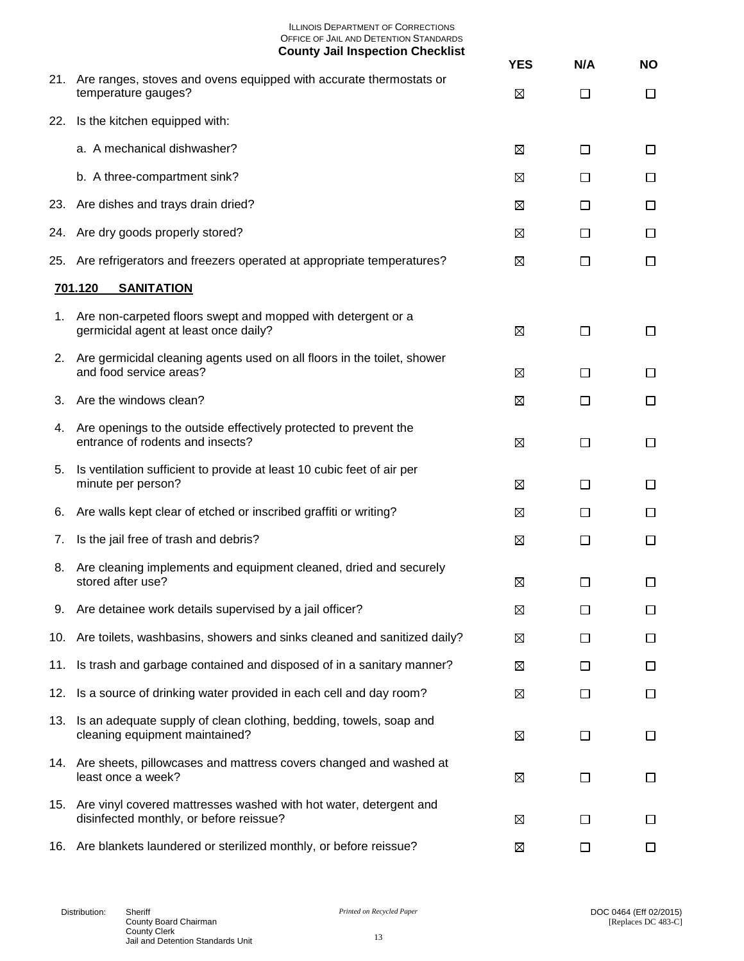|     |                                                                                                                  | <b>YES</b> | N/A    | <b>NO</b> |
|-----|------------------------------------------------------------------------------------------------------------------|------------|--------|-----------|
|     | 21. Are ranges, stoves and ovens equipped with accurate thermostats or<br>temperature gauges?                    | ⊠          | $\Box$ | □         |
| 22. | Is the kitchen equipped with:                                                                                    |            |        |           |
|     | a. A mechanical dishwasher?                                                                                      | ⊠          | $\Box$ | □         |
|     | b. A three-compartment sink?                                                                                     | ⊠          | $\Box$ | ப         |
| 23. | Are dishes and trays drain dried?                                                                                | ⊠          | □      | □         |
|     | 24. Are dry goods properly stored?                                                                               | ⊠          | $\Box$ | □         |
|     | 25. Are refrigerators and freezers operated at appropriate temperatures?                                         | ⊠          | $\Box$ | □         |
|     | 701.120<br><b>SANITATION</b>                                                                                     |            |        |           |
| 1.  | Are non-carpeted floors swept and mopped with detergent or a<br>germicidal agent at least once daily?            | ⊠          | □      | □         |
| 2.  | Are germicidal cleaning agents used on all floors in the toilet, shower<br>and food service areas?               | ⊠          | □      | ப         |
| 3.  | Are the windows clean?                                                                                           | ⊠          | П      | ப         |
| 4.  | Are openings to the outside effectively protected to prevent the<br>entrance of rodents and insects?             | ⊠          | $\Box$ | $\Box$    |
| 5.  | Is ventilation sufficient to provide at least 10 cubic feet of air per<br>minute per person?                     | ⊠          | □      | □         |
| 6.  | Are walls kept clear of etched or inscribed graffiti or writing?                                                 | ⊠          | ப      | ப         |
| 7.  | Is the jail free of trash and debris?                                                                            | ⊠          | $\Box$ | □         |
| 8.  | Are cleaning implements and equipment cleaned, dried and securely<br>stored after use?                           | ⊠          | $\Box$ | ப         |
| 9.  | Are detainee work details supervised by a jail officer?                                                          | ⊠          | П      | $\Box$    |
|     | 10. Are toilets, washbasins, showers and sinks cleaned and sanitized daily?                                      | ⊠          | ப      | □         |
| 11. | Is trash and garbage contained and disposed of in a sanitary manner?                                             | ⊠          | $\Box$ | □         |
|     | 12. Is a source of drinking water provided in each cell and day room?                                            | ⊠          | П      | □         |
|     | 13. Is an adequate supply of clean clothing, bedding, towels, soap and<br>cleaning equipment maintained?         | ⊠          | □      | $\Box$    |
|     | 14. Are sheets, pillowcases and mattress covers changed and washed at<br>least once a week?                      | ⊠          | ⊔      | $\Box$    |
|     | 15. Are vinyl covered mattresses washed with hot water, detergent and<br>disinfected monthly, or before reissue? | ⊠          | $\Box$ | $\Box$    |
|     | 16. Are blankets laundered or sterilized monthly, or before reissue?                                             | ⊠          | П      | $\Box$    |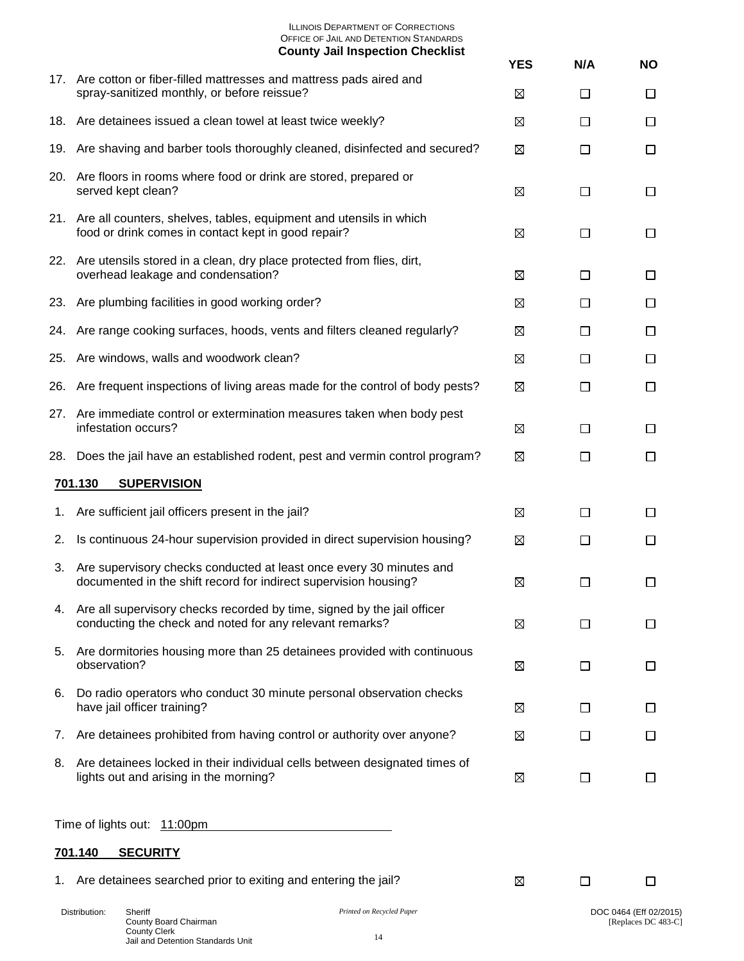|    |                                                                                                                                            | <b>YES</b> | N/A            | <b>NO</b>                |
|----|--------------------------------------------------------------------------------------------------------------------------------------------|------------|----------------|--------------------------|
|    | 17. Are cotton or fiber-filled mattresses and mattress pads aired and<br>spray-sanitized monthly, or before reissue?                       | ⊠          | $\Box$         | ⊔                        |
|    | 18. Are detainees issued a clean towel at least twice weekly?                                                                              | ⊠          | □              | □                        |
|    | 19. Are shaving and barber tools thoroughly cleaned, disinfected and secured?                                                              | ⊠          | П              | $\Box$                   |
|    | 20. Are floors in rooms where food or drink are stored, prepared or<br>served kept clean?                                                  | ⊠          | $\Box$         | ப                        |
|    | 21. Are all counters, shelves, tables, equipment and utensils in which<br>food or drink comes in contact kept in good repair?              | ⊠          | □              | ப                        |
|    | 22. Are utensils stored in a clean, dry place protected from flies, dirt,<br>overhead leakage and condensation?                            | ⊠          | П              | ப                        |
|    | 23. Are plumbing facilities in good working order?                                                                                         | ⊠          | П              | □                        |
|    | 24. Are range cooking surfaces, hoods, vents and filters cleaned regularly?                                                                | ⊠          | П              | $\Box$                   |
|    | 25. Are windows, walls and woodwork clean?                                                                                                 | ⊠          | П              | $\Box$                   |
|    | 26. Are frequent inspections of living areas made for the control of body pests?                                                           | ⊠          | □              | □                        |
|    | 27. Are immediate control or extermination measures taken when body pest<br>infestation occurs?                                            | ⊠          | ⊔              | ப                        |
|    | 28. Does the jail have an established rodent, pest and vermin control program?                                                             | ⊠          | П              | Ш                        |
|    | 701.130<br><b>SUPERVISION</b>                                                                                                              |            |                |                          |
| 1. | Are sufficient jail officers present in the jail?                                                                                          | ⊠          | ப              | ப                        |
| 2. | Is continuous 24-hour supervision provided in direct supervision housing?                                                                  | ⊠          | П              | $\Box$                   |
|    | 3. Are supervisory checks conducted at least once every 30 minutes and<br>documented in the shift record for indirect supervision housing? | ⊠          | $\blacksquare$ | $\overline{\phantom{a}}$ |
| 4. | Are all supervisory checks recorded by time, signed by the jail officer<br>conducting the check and noted for any relevant remarks?        | ⊠          | П              | $\Box$                   |
| 5. | Are dormitories housing more than 25 detainees provided with continuous<br>observation?                                                    | ⊠          | □              | $\Box$                   |
| 6. | Do radio operators who conduct 30 minute personal observation checks<br>have jail officer training?                                        | ⊠          | □              | $\Box$                   |
| 7. | Are detainees prohibited from having control or authority over anyone?                                                                     | ⊠          | П              | ப                        |
| 8. | Are detainees locked in their individual cells between designated times of<br>lights out and arising in the morning?                       | ⊠          | П              | $\perp$                  |
|    | Time of lights out: 11:00pm                                                                                                                |            |                |                          |
|    | <b>SECURITY</b><br>701.140                                                                                                                 |            |                |                          |
| 1. | Are detainees searched prior to exiting and entering the jail?                                                                             | ⊠          | $\Box$         | $\Box$                   |

Distribution: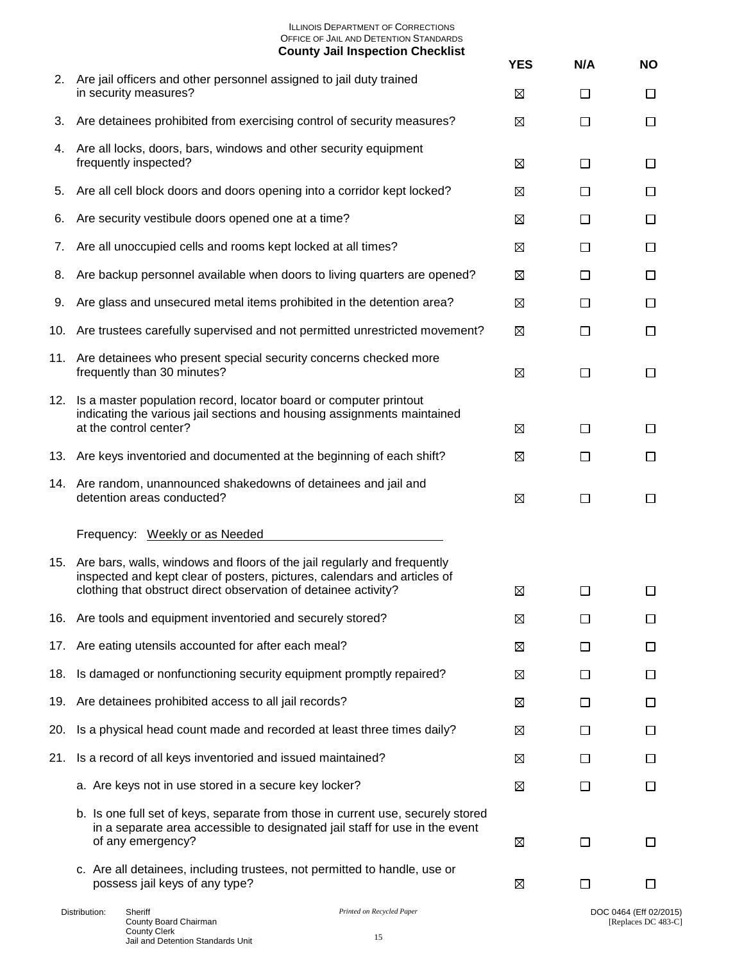|     |                                                                                                                                                                                                                         | <b>YES</b> | N/A    | <b>NO</b>          |
|-----|-------------------------------------------------------------------------------------------------------------------------------------------------------------------------------------------------------------------------|------------|--------|--------------------|
|     | 2. Are jail officers and other personnel assigned to jail duty trained<br>in security measures?                                                                                                                         | ⊠          | □      | □                  |
| 3.  | Are detainees prohibited from exercising control of security measures?                                                                                                                                                  | ⊠          | □      | ப                  |
|     | 4. Are all locks, doors, bars, windows and other security equipment<br>frequently inspected?                                                                                                                            | ⊠          | $\Box$ | □                  |
|     | 5. Are all cell block doors and doors opening into a corridor kept locked?                                                                                                                                              | ⊠          | $\Box$ | □                  |
| 6.  | Are security vestibule doors opened one at a time?                                                                                                                                                                      | ⊠          | $\Box$ | □                  |
|     | 7. Are all unoccupied cells and rooms kept locked at all times?                                                                                                                                                         | ⊠          | □      | □                  |
|     | 8. Are backup personnel available when doors to living quarters are opened?                                                                                                                                             | ⊠          | □      | ப                  |
| 9.  | Are glass and unsecured metal items prohibited in the detention area?                                                                                                                                                   | ⊠          | $\Box$ | □                  |
|     | 10. Are trustees carefully supervised and not permitted unrestricted movement?                                                                                                                                          | ⊠          | □      | □                  |
|     | 11. Are detainees who present special security concerns checked more<br>frequently than 30 minutes?                                                                                                                     | ⊠          | □      | □                  |
| 12. | Is a master population record, locator board or computer printout<br>indicating the various jail sections and housing assignments maintained<br>at the control center?                                                  | ⊠          | □      | $\Box$             |
|     | 13. Are keys inventoried and documented at the beginning of each shift?                                                                                                                                                 | ⊠          | $\Box$ | ப                  |
|     | 14. Are random, unannounced shakedowns of detainees and jail and<br>detention areas conducted?                                                                                                                          | ⊠          | $\Box$ | □                  |
|     | Frequency: Weekly or as Needed                                                                                                                                                                                          |            |        |                    |
| 15. | Are bars, walls, windows and floors of the jail regularly and frequently<br>inspected and kept clear of posters, pictures, calendars and articles of<br>clothing that obstruct direct observation of detainee activity? | ⊠          |        | $\Box$             |
|     | 16. Are tools and equipment inventoried and securely stored?                                                                                                                                                            | ⊠          | $\Box$ | □                  |
|     | 17. Are eating utensils accounted for after each meal?                                                                                                                                                                  | ⊠          | ப      | ப                  |
| 18. | Is damaged or nonfunctioning security equipment promptly repaired?                                                                                                                                                      | ⊠          | $\Box$ | ப                  |
| 19. | Are detainees prohibited access to all jail records?                                                                                                                                                                    | ⊠          | □      | □                  |
| 20. | Is a physical head count made and recorded at least three times daily?                                                                                                                                                  | ⊠          | ப      | ப                  |
| 21. | Is a record of all keys inventoried and issued maintained?                                                                                                                                                              | ⊠          | $\Box$ | $\Box$             |
|     | a. Are keys not in use stored in a secure key locker?                                                                                                                                                                   | ⊠          | $\Box$ | □                  |
|     | b. Is one full set of keys, separate from those in current use, securely stored<br>in a separate area accessible to designated jail staff for use in the event<br>of any emergency?                                     | ⊠          | $\Box$ | □                  |
|     | c. Are all detainees, including trustees, not permitted to handle, use or<br>possess jail keys of any type?                                                                                                             | ⊠          | □      | $\Box$             |
|     | Distribution:<br>Printed on Recycled Paper<br>Sheriff                                                                                                                                                                   |            |        | DOC 0464 (Eff 02/2 |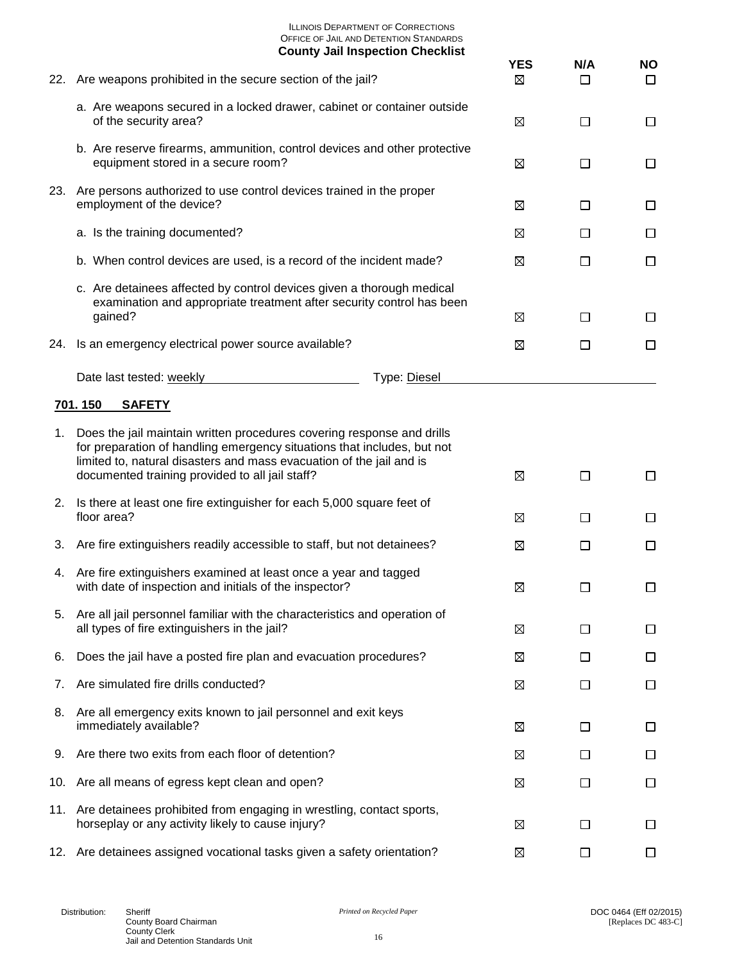|     | County Jan mspection Checkhot                                                                                                                                                                                             | <b>YES</b> | N/A     | <b>NO</b> |
|-----|---------------------------------------------------------------------------------------------------------------------------------------------------------------------------------------------------------------------------|------------|---------|-----------|
| 22. | Are weapons prohibited in the secure section of the jail?                                                                                                                                                                 | ⊠          | □       | $\Box$    |
|     | a. Are weapons secured in a locked drawer, cabinet or container outside<br>of the security area?                                                                                                                          | ⊠          | $\Box$  | □         |
|     | b. Are reserve firearms, ammunition, control devices and other protective<br>equipment stored in a secure room?                                                                                                           | ⊠          | $\Box$  | □         |
| 23. | Are persons authorized to use control devices trained in the proper<br>employment of the device?                                                                                                                          | ⊠          | □       | $\Box$    |
|     | a. Is the training documented?                                                                                                                                                                                            | ⊠          | П       | □         |
|     | b. When control devices are used, is a record of the incident made?                                                                                                                                                       | ⊠          | $\Box$  | $\Box$    |
|     | c. Are detainees affected by control devices given a thorough medical<br>examination and appropriate treatment after security control has been<br>gained?                                                                 | ⊠          | □       | $\Box$    |
| 24. | Is an emergency electrical power source available?                                                                                                                                                                        | ⊠          | □       | $\Box$    |
|     | Date last tested: weekly<br>Type: Diesel                                                                                                                                                                                  |            |         |           |
|     | 701.150<br><b>SAFETY</b>                                                                                                                                                                                                  |            |         |           |
| 1.  | Does the jail maintain written procedures covering response and drills<br>for preparation of handling emergency situations that includes, but not<br>limited to, natural disasters and mass evacuation of the jail and is |            |         |           |
|     | documented training provided to all jail staff?                                                                                                                                                                           | ⊠          | $\Box$  | $\Box$    |
| 2.  | Is there at least one fire extinguisher for each 5,000 square feet of<br>floor area?                                                                                                                                      | ⊠          | $\Box$  | $\Box$    |
| 3.  | Are fire extinguishers readily accessible to staff, but not detainees?                                                                                                                                                    | ⊠          | $\Box$  | $\Box$    |
| 4.  | Are fire extinguishers examined at least once a year and tagged<br>with date of inspection and initials of the inspector?                                                                                                 | ⊠          | П       | $\Box$    |
|     | 5. Are all jail personnel familiar with the characteristics and operation of<br>all types of fire extinguishers in the jail?                                                                                              | ⊠          | □       | □         |
| 6.  | Does the jail have a posted fire plan and evacuation procedures?                                                                                                                                                          | ⊠          | П       | □         |
| 7.  | Are simulated fire drills conducted?                                                                                                                                                                                      | ⊠          | $\Box$  | □         |
| 8.  | Are all emergency exits known to jail personnel and exit keys<br>immediately available?                                                                                                                                   | ⊠          | $\Box$  | □         |
| 9.  | Are there two exits from each floor of detention?                                                                                                                                                                         | ⊠          | $\Box$  | □         |
|     | 10. Are all means of egress kept clean and open?                                                                                                                                                                          | ⊠          | □       | □         |
|     | 11. Are detainees prohibited from engaging in wrestling, contact sports,<br>horseplay or any activity likely to cause injury?                                                                                             | ⊠          | $\perp$ | □         |
|     | 12. Are detainees assigned vocational tasks given a safety orientation?                                                                                                                                                   | ⊠          | П       | $\Box$    |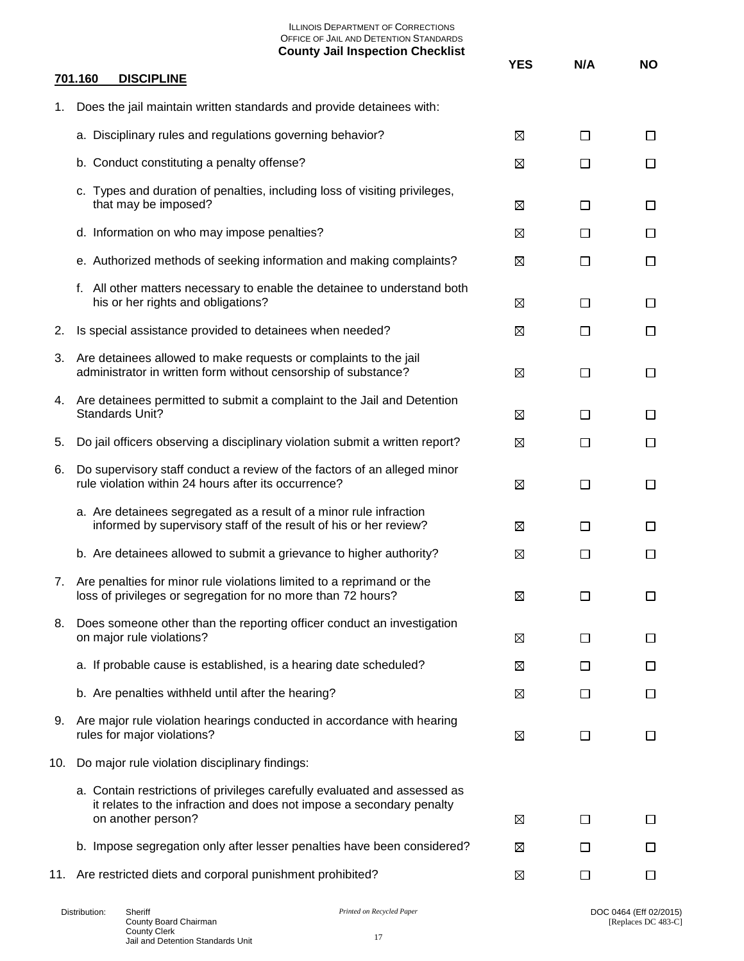ILLINOIS DEPARTMENT OF CORRECTIONS OFFICE OF JAIL AND DETENTION STANDARDS

|     | <b>County Jail Inspection Checklist</b>                                                                                                                                 |            |        |           |
|-----|-------------------------------------------------------------------------------------------------------------------------------------------------------------------------|------------|--------|-----------|
|     | 701.160<br><b>DISCIPLINE</b>                                                                                                                                            | <b>YES</b> | N/A    | <b>NO</b> |
| 1.  | Does the jail maintain written standards and provide detainees with:                                                                                                    |            |        |           |
|     | a. Disciplinary rules and regulations governing behavior?                                                                                                               | ⊠          | □      | □         |
|     | b. Conduct constituting a penalty offense?                                                                                                                              | ⊠          | □      | □         |
|     | c. Types and duration of penalties, including loss of visiting privileges,<br>that may be imposed?                                                                      | ⊠          | □      | □         |
|     | d. Information on who may impose penalties?                                                                                                                             | ⊠          | $\Box$ | □         |
|     | e. Authorized methods of seeking information and making complaints?                                                                                                     | ⊠          | $\Box$ | □         |
|     | f. All other matters necessary to enable the detainee to understand both<br>his or her rights and obligations?                                                          | ⊠          | □      | □         |
| 2.  | Is special assistance provided to detainees when needed?                                                                                                                | ⊠          | □      | □         |
| 3.  | Are detainees allowed to make requests or complaints to the jail<br>administrator in written form without censorship of substance?                                      | ⊠          | $\Box$ | □         |
|     | 4. Are detainees permitted to submit a complaint to the Jail and Detention<br>Standards Unit?                                                                           | ⊠          | □      | $\Box$    |
| 5.  | Do jail officers observing a disciplinary violation submit a written report?                                                                                            | ⊠          | $\Box$ | □         |
| 6.  | Do supervisory staff conduct a review of the factors of an alleged minor<br>rule violation within 24 hours after its occurrence?                                        | ⊠          | □      | □         |
|     | a. Are detainees segregated as a result of a minor rule infraction<br>informed by supervisory staff of the result of his or her review?                                 | ⊠          | $\Box$ | □         |
|     | b. Are detainees allowed to submit a grievance to higher authority?                                                                                                     | ⊠          | □      | □         |
|     | 7. Are penalties for minor rule violations limited to a reprimand or the<br>loss of privileges or segregation for no more than 72 hours?                                | ⊠          | ⊔      | ⊔         |
| 8.  | Does someone other than the reporting officer conduct an investigation<br>on major rule violations?                                                                     | ⊠          | □      | ப         |
|     | a. If probable cause is established, is a hearing date scheduled?                                                                                                       | ⊠          | $\Box$ | $\Box$    |
|     | b. Are penalties withheld until after the hearing?                                                                                                                      | ⊠          | П      | □         |
| 9.  | Are major rule violation hearings conducted in accordance with hearing<br>rules for major violations?                                                                   | ⊠          | □      | □         |
| 10. | Do major rule violation disciplinary findings:                                                                                                                          |            |        |           |
|     | a. Contain restrictions of privileges carefully evaluated and assessed as<br>it relates to the infraction and does not impose a secondary penalty<br>on another person? | ⊠          | □      | ப         |
|     | b. Impose segregation only after lesser penalties have been considered?                                                                                                 | ⊠          | l 1    | ப         |
|     | 11. Are restricted diets and corporal punishment prohibited?                                                                                                            | ⊠          | $\Box$ | □         |

Distribution: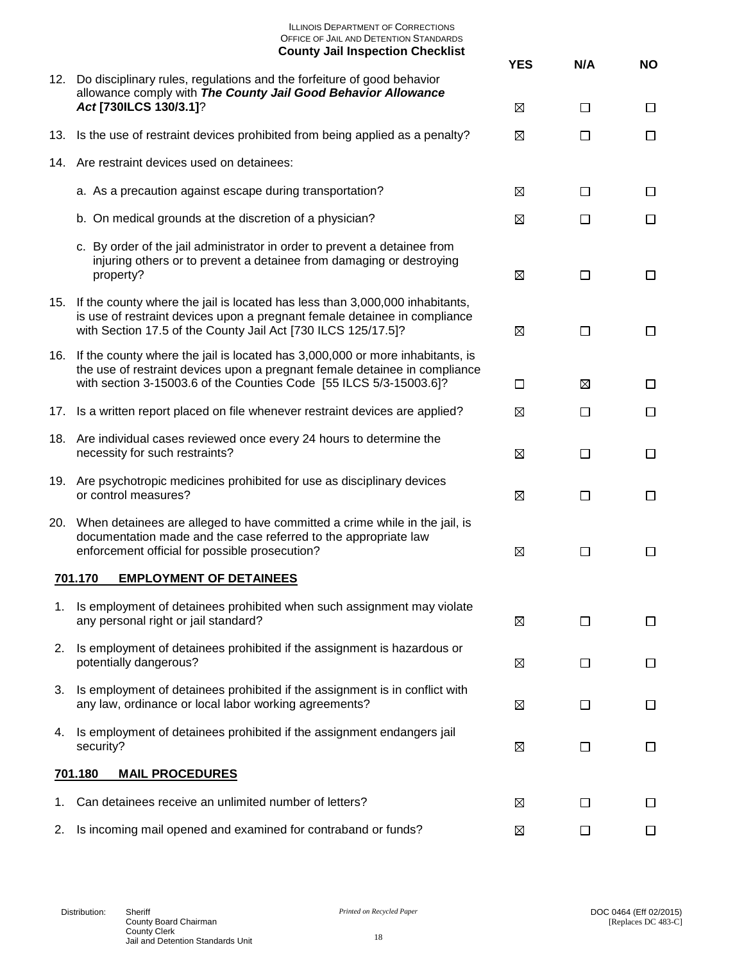| <b>County Jail Inspection Checklist</b>   |
|-------------------------------------------|
| OFFICE OF JAIL AND DETENTION STANDARDS    |
| <b>ILLINOIS DEPARTMENT OF CORRECTIONS</b> |

|    |                                                                                                                                                                                                                                       | <b>YES</b> | N/A    | <b>NO</b> |
|----|---------------------------------------------------------------------------------------------------------------------------------------------------------------------------------------------------------------------------------------|------------|--------|-----------|
|    | 12. Do disciplinary rules, regulations and the forfeiture of good behavior<br>allowance comply with The County Jail Good Behavior Allowance                                                                                           |            |        |           |
|    | Act [730ILCS 130/3.1]?                                                                                                                                                                                                                | ⊠          | □      | $\Box$    |
|    | 13. Is the use of restraint devices prohibited from being applied as a penalty?                                                                                                                                                       | ⊠          | $\Box$ | $\Box$    |
|    | 14. Are restraint devices used on detainees:                                                                                                                                                                                          |            |        |           |
|    | a. As a precaution against escape during transportation?                                                                                                                                                                              | ⊠          | $\Box$ | □         |
|    | b. On medical grounds at the discretion of a physician?                                                                                                                                                                               | ⊠          | $\Box$ | $\Box$    |
|    | c. By order of the jail administrator in order to prevent a detainee from<br>injuring others or to prevent a detainee from damaging or destroying<br>property?                                                                        | ⊠          | П      | □         |
|    | 15. If the county where the jail is located has less than 3,000,000 inhabitants,<br>is use of restraint devices upon a pregnant female detainee in compliance<br>with Section 17.5 of the County Jail Act [730 ILCS 125/17.5]?        | ⊠          | □      | $\Box$    |
|    | 16. If the county where the jail is located has 3,000,000 or more inhabitants, is<br>the use of restraint devices upon a pregnant female detainee in compliance<br>with section 3-15003.6 of the Counties Code [55 ILCS 5/3-15003.6]? | $\Box$     | ⊠      | □         |
|    | 17. Is a written report placed on file whenever restraint devices are applied?                                                                                                                                                        | ⊠          | □      | □         |
|    | 18. Are individual cases reviewed once every 24 hours to determine the<br>necessity for such restraints?                                                                                                                              | ⊠          | $\Box$ | □         |
|    | 19. Are psychotropic medicines prohibited for use as disciplinary devices<br>or control measures?                                                                                                                                     | ⊠          | $\Box$ | □         |
|    | 20. When detainees are alleged to have committed a crime while in the jail, is<br>documentation made and the case referred to the appropriate law<br>enforcement official for possible prosecution?                                   | ⊠          | $\Box$ | □         |
|    | 701.170<br><b>EMPLOYMENT OF DETAINEES</b>                                                                                                                                                                                             |            |        |           |
| 1. | Is employment of detainees prohibited when such assignment may violate<br>any personal right or jail standard?                                                                                                                        | ⊠          | ΙI     | $\Box$    |
| 2. | Is employment of detainees prohibited if the assignment is hazardous or<br>potentially dangerous?                                                                                                                                     | ⊠          | □      | □         |
| 3. | Is employment of detainees prohibited if the assignment is in conflict with<br>any law, ordinance or local labor working agreements?                                                                                                  | ⊠          | $\Box$ | □         |
| 4. | Is employment of detainees prohibited if the assignment endangers jail<br>security?                                                                                                                                                   | ⊠          | ப      | □         |
|    | 701.180<br><b>MAIL PROCEDURES</b>                                                                                                                                                                                                     |            |        |           |
| 1. | Can detainees receive an unlimited number of letters?                                                                                                                                                                                 | ⊠          | ப      | ப         |
| 2. | Is incoming mail opened and examined for contraband or funds?                                                                                                                                                                         | ⊠          | □      | ப         |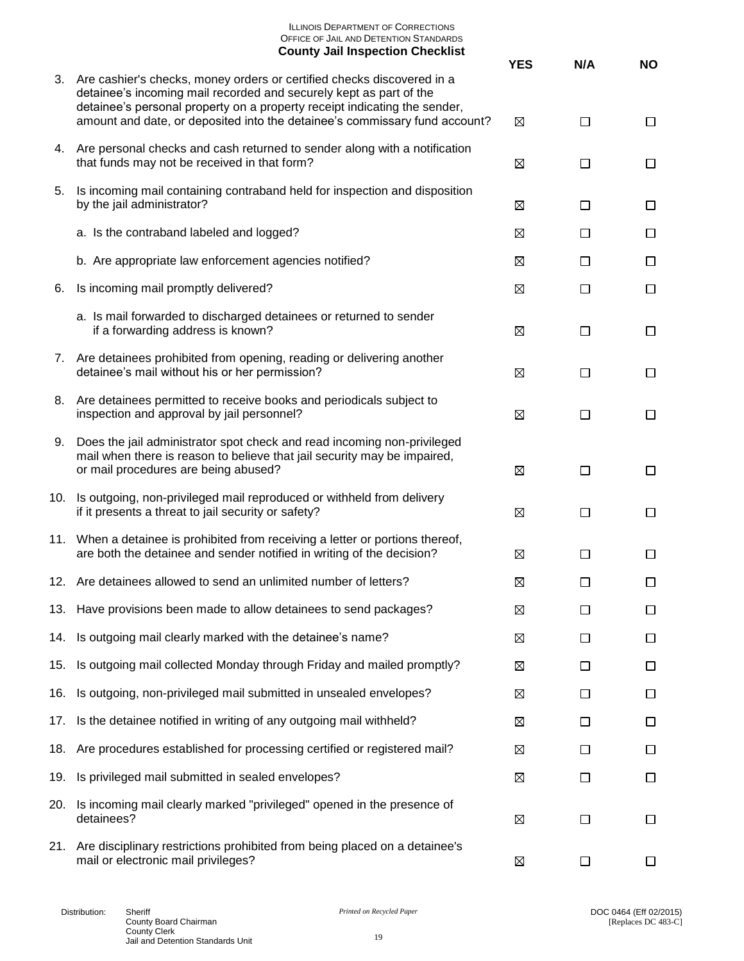|     | <b>ILLINOIS DEPARTMENT OF CORRECTIONS</b><br>OFFICE OF JAIL AND DETENTION STANDARDS<br><b>County Jail Inspection Checklist</b>                                                                                               | <b>YES</b> | N/A    | <b>NO</b> |
|-----|------------------------------------------------------------------------------------------------------------------------------------------------------------------------------------------------------------------------------|------------|--------|-----------|
|     | 3. Are cashier's checks, money orders or certified checks discovered in a<br>detainee's incoming mail recorded and securely kept as part of the<br>detainee's personal property on a property receipt indicating the sender, |            |        |           |
|     | amount and date, or deposited into the detainee's commissary fund account?                                                                                                                                                   | ⊠          | □      | ப         |
|     | 4. Are personal checks and cash returned to sender along with a notification<br>that funds may not be received in that form?                                                                                                 | ⊠          | $\Box$ | □         |
| 5.  | Is incoming mail containing contraband held for inspection and disposition<br>by the jail administrator?                                                                                                                     | ⊠          | □      | $\Box$    |
|     | a. Is the contraband labeled and logged?                                                                                                                                                                                     | ⊠          | П      | $\Box$    |
|     | b. Are appropriate law enforcement agencies notified?                                                                                                                                                                        | ⊠          | □      | ப         |
| 6.  | Is incoming mail promptly delivered?                                                                                                                                                                                         | ⊠          | □      | $\Box$    |
|     | a. Is mail forwarded to discharged detainees or returned to sender<br>if a forwarding address is known?                                                                                                                      | ⊠          | $\Box$ | □         |
|     | 7. Are detainees prohibited from opening, reading or delivering another<br>detainee's mail without his or her permission?                                                                                                    | ⊠          | $\Box$ | Ш         |
|     | 8. Are detainees permitted to receive books and periodicals subject to<br>inspection and approval by jail personnel?                                                                                                         | ⊠          | $\Box$ | $\Box$    |
| 9.  | Does the jail administrator spot check and read incoming non-privileged<br>mail when there is reason to believe that jail security may be impaired,<br>or mail procedures are being abused?                                  | ⊠          | □      | $\Box$    |
| 10. | Is outgoing, non-privileged mail reproduced or withheld from delivery<br>if it presents a threat to jail security or safety?                                                                                                 | ⊠          | □      | □         |
| 11. | When a detainee is prohibited from receiving a letter or portions thereof,<br>are both the detainee and sender notified in writing of the decision?                                                                          | ⊠          | ΙI     | $\Box$    |
|     | 12. Are detainees allowed to send an unlimited number of letters?                                                                                                                                                            | ⊠          | □      | ⊔         |
|     | 13. Have provisions been made to allow detainees to send packages?                                                                                                                                                           | ⊠          | $\Box$ | ப         |
| 14. | Is outgoing mail clearly marked with the detainee's name?                                                                                                                                                                    | ⊠          | □      | □         |
| 15. | Is outgoing mail collected Monday through Friday and mailed promptly?                                                                                                                                                        | ⊠          | $\Box$ | ப         |
| 16. | Is outgoing, non-privileged mail submitted in unsealed envelopes?                                                                                                                                                            | ⊠          | $\Box$ | ப         |
| 17. | Is the detainee notified in writing of any outgoing mail withheld?                                                                                                                                                           | ⊠          | $\Box$ | ப         |
| 18. | Are procedures established for processing certified or registered mail?                                                                                                                                                      | ⊠          | $\Box$ | ப         |
| 19. | Is privileged mail submitted in sealed envelopes?                                                                                                                                                                            | ⊠          | $\Box$ | ப         |
| 20. | Is incoming mail clearly marked "privileged" opened in the presence of<br>detainees?                                                                                                                                         | ⊠          | □      | □         |
| 21. | Are disciplinary restrictions prohibited from being placed on a detainee's<br>mail or electronic mail privileges?                                                                                                            | ⊠          | П      |           |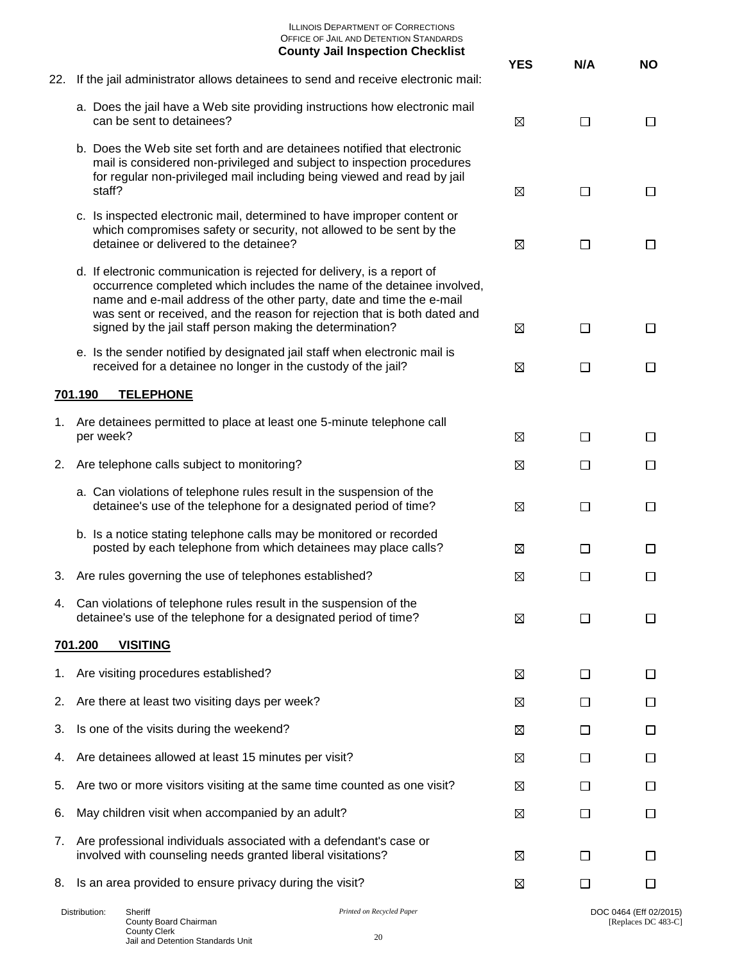|     |                                                                                                                                                                                                                                                                                                                                                                     | <b>YES</b>  | N/A          | <b>NO</b>      |
|-----|---------------------------------------------------------------------------------------------------------------------------------------------------------------------------------------------------------------------------------------------------------------------------------------------------------------------------------------------------------------------|-------------|--------------|----------------|
| 22. | If the jail administrator allows detainees to send and receive electronic mail:                                                                                                                                                                                                                                                                                     |             |              |                |
|     | a. Does the jail have a Web site providing instructions how electronic mail<br>can be sent to detainees?                                                                                                                                                                                                                                                            | ⊠           | □            | ப              |
|     | b. Does the Web site set forth and are detainees notified that electronic<br>mail is considered non-privileged and subject to inspection procedures<br>for regular non-privileged mail including being viewed and read by jail<br>staff?                                                                                                                            | ⊠           | □            | $\Box$         |
|     | c. Is inspected electronic mail, determined to have improper content or<br>which compromises safety or security, not allowed to be sent by the<br>detainee or delivered to the detainee?                                                                                                                                                                            | $\boxtimes$ | $\Box$       | $\Box$         |
|     | d. If electronic communication is rejected for delivery, is a report of<br>occurrence completed which includes the name of the detainee involved,<br>name and e-mail address of the other party, date and time the e-mail<br>was sent or received, and the reason for rejection that is both dated and<br>signed by the jail staff person making the determination? | ⊠           | □            | $\Box$         |
|     | e. Is the sender notified by designated jail staff when electronic mail is<br>received for a detainee no longer in the custody of the jail?                                                                                                                                                                                                                         | ⊠           | П            | □              |
|     | 701.190<br><b>TELEPHONE</b>                                                                                                                                                                                                                                                                                                                                         |             |              |                |
| 1.  | Are detainees permitted to place at least one 5-minute telephone call<br>per week?                                                                                                                                                                                                                                                                                  | ⊠           | □            | $\mathbb{R}^n$ |
| 2.  | Are telephone calls subject to monitoring?                                                                                                                                                                                                                                                                                                                          | ⊠           | $\Box$       | П              |
|     | a. Can violations of telephone rules result in the suspension of the<br>detainee's use of the telephone for a designated period of time?                                                                                                                                                                                                                            | ⊠           | □            | $\Box$         |
|     | b. Is a notice stating telephone calls may be monitored or recorded<br>posted by each telephone from which detainees may place calls?                                                                                                                                                                                                                               | ⊠           | $\Box$       | $\Box$         |
| 3.  | Are rules governing the use of telephones established?                                                                                                                                                                                                                                                                                                              | ⊠           | П            | ப              |
| 4.  | Can violations of telephone rules result in the suspension of the<br>detainee's use of the telephone for a designated period of time?                                                                                                                                                                                                                               | ⊠           | $\mathsf{L}$ | ΙI             |
|     | 701.200<br><b>VISITING</b>                                                                                                                                                                                                                                                                                                                                          |             |              |                |
| 1.  | Are visiting procedures established?                                                                                                                                                                                                                                                                                                                                | ⊠           | $\Box$       | ΙI             |
| 2.  | Are there at least two visiting days per week?                                                                                                                                                                                                                                                                                                                      | ⊠           | П            | $\mathsf{L}$   |
| 3.  | Is one of the visits during the weekend?                                                                                                                                                                                                                                                                                                                            | ⊠           | $\Box$       | $\Box$         |
| 4.  | Are detainees allowed at least 15 minutes per visit?                                                                                                                                                                                                                                                                                                                | ⊠           | П            | l 1            |
| 5.  | Are two or more visitors visiting at the same time counted as one visit?                                                                                                                                                                                                                                                                                            | ⊠           | П            | $\mathsf{L}$   |
| 6.  | May children visit when accompanied by an adult?                                                                                                                                                                                                                                                                                                                    | ⊠           | П            | П              |
| 7.  | Are professional individuals associated with a defendant's case or<br>involved with counseling needs granted liberal visitations?                                                                                                                                                                                                                                   | ⊠           | П            |                |
| 8.  | Is an area provided to ensure privacy during the visit?                                                                                                                                                                                                                                                                                                             | ⊠           | $\Box$       | $\Box$         |

Distribution: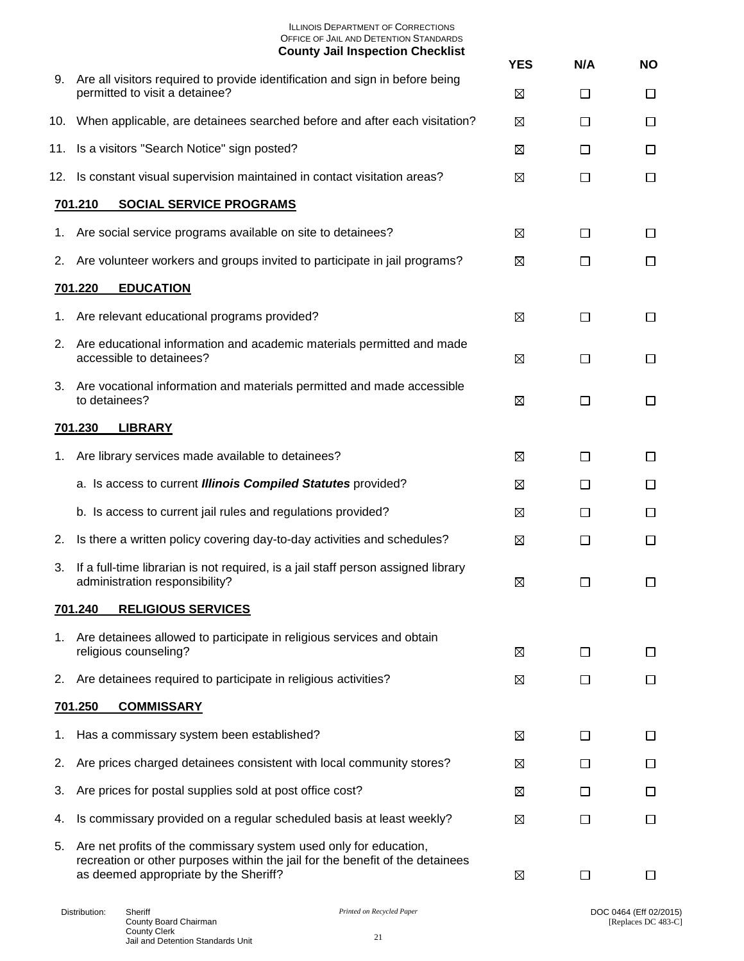|     | <u>san mopositon oncolum</u>                                                                                                                                                                | <b>YES</b> | N/A    | <b>NO</b> |
|-----|---------------------------------------------------------------------------------------------------------------------------------------------------------------------------------------------|------------|--------|-----------|
| 9.  | Are all visitors required to provide identification and sign in before being<br>permitted to visit a detainee?                                                                              | ⊠          | □      | $\Box$    |
|     | 10. When applicable, are detainees searched before and after each visitation?                                                                                                               | ⊠          | □      | $\Box$    |
| 11. | Is a visitors "Search Notice" sign posted?                                                                                                                                                  | ⊠          | П      | ⊔         |
|     | 12. Is constant visual supervision maintained in contact visitation areas?                                                                                                                  | ⊠          | П      | $\Box$    |
|     | 701.210<br><b>SOCIAL SERVICE PROGRAMS</b>                                                                                                                                                   |            |        |           |
| 1.  | Are social service programs available on site to detainees?                                                                                                                                 | ⊠          | $\Box$ | $\Box$    |
|     | 2. Are volunteer workers and groups invited to participate in jail programs?                                                                                                                | ⊠          | П      | $\Box$    |
|     | 701.220<br><b>EDUCATION</b>                                                                                                                                                                 |            |        |           |
| 1.  | Are relevant educational programs provided?                                                                                                                                                 | ⊠          | П      | $\Box$    |
| 2.  | Are educational information and academic materials permitted and made<br>accessible to detainees?                                                                                           | ⊠          | П      | □         |
| 3.  | Are vocational information and materials permitted and made accessible<br>to detainees?                                                                                                     | ⊠          | П      | □         |
|     | 701.230<br><b>LIBRARY</b>                                                                                                                                                                   |            |        |           |
| 1.  | Are library services made available to detainees?                                                                                                                                           | ⊠          | Ш      | ப         |
|     | a. Is access to current Illinois Compiled Statutes provided?                                                                                                                                | ⊠          | П      | ப         |
|     | b. Is access to current jail rules and regulations provided?                                                                                                                                | ⊠          | П      | $\Box$    |
| 2.  | Is there a written policy covering day-to-day activities and schedules?                                                                                                                     | ⊠          | П      | $\Box$    |
| 3.  | If a full-time librarian is not required, is a jail staff person assigned library<br>administration responsibility?                                                                         | ⊠          | $\Box$ | $\Box$    |
|     | 701.240<br><b>RELIGIOUS SERVICES</b>                                                                                                                                                        |            |        |           |
| 1.  | Are detainees allowed to participate in religious services and obtain<br>religious counseling?                                                                                              | ⊠          | ⊔      | ⊔         |
| 2.  | Are detainees required to participate in religious activities?                                                                                                                              | ⊠          | П      | ⊔         |
|     | 701.250<br><b>COMMISSARY</b>                                                                                                                                                                |            |        |           |
| 1.  | Has a commissary system been established?                                                                                                                                                   | ⊠          | $\Box$ | $\Box$    |
| 2.  | Are prices charged detainees consistent with local community stores?                                                                                                                        | ⊠          | П      | ப         |
| 3.  | Are prices for postal supplies sold at post office cost?                                                                                                                                    | ⊠          | $\Box$ | ப         |
| 4.  | Is commissary provided on a regular scheduled basis at least weekly?                                                                                                                        | ⊠          | П      | ப         |
| 5.  | Are net profits of the commissary system used only for education,<br>recreation or other purposes within the jail for the benefit of the detainees<br>as deemed appropriate by the Sheriff? | ⊠          | □      | □         |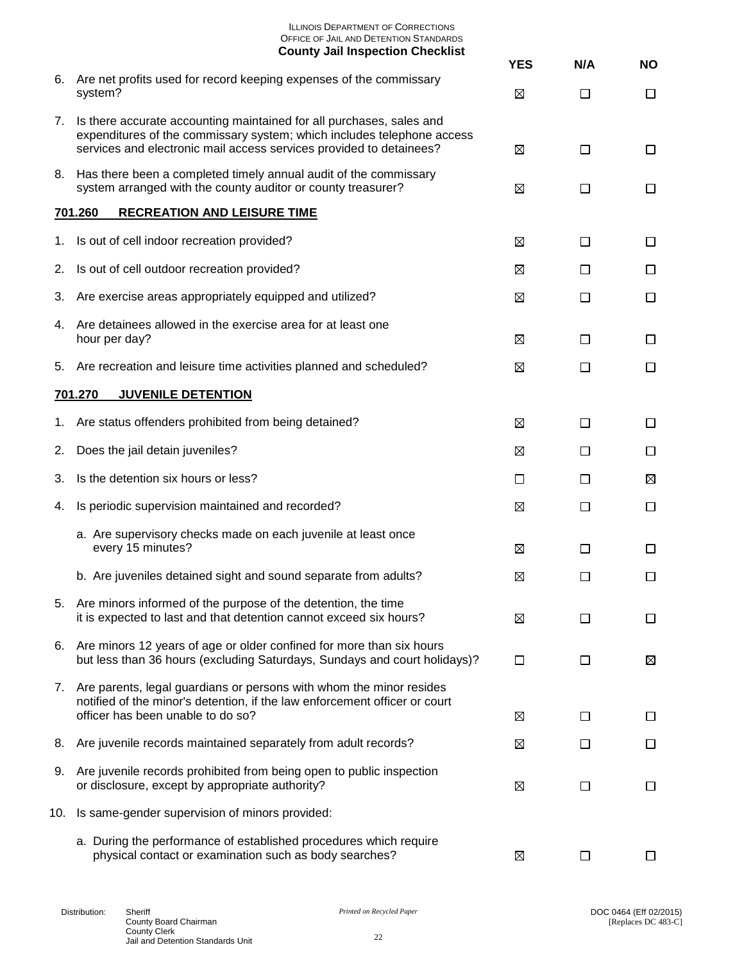|     | <b>ILLINOIS DEPARTMENT OF CORRECTIONS</b><br>OFFICE OF JAIL AND DETENTION STANDARDS<br><b>County Jail Inspection Checklist</b>                                                                                        |            |         |           |
|-----|-----------------------------------------------------------------------------------------------------------------------------------------------------------------------------------------------------------------------|------------|---------|-----------|
| 6.  | Are net profits used for record keeping expenses of the commissary                                                                                                                                                    | <b>YES</b> | N/A     | <b>NO</b> |
|     | system?                                                                                                                                                                                                               | ⊠          | П       | ப         |
| 7.  | Is there accurate accounting maintained for all purchases, sales and<br>expenditures of the commissary system; which includes telephone access<br>services and electronic mail access services provided to detainees? | ⊠          | П       | $\Box$    |
|     | 8. Has there been a completed timely annual audit of the commissary<br>system arranged with the county auditor or county treasurer?                                                                                   | ⊠          | l 1     | $\Box$    |
|     | 701.260<br><b>RECREATION AND LEISURE TIME</b>                                                                                                                                                                         |            |         |           |
| 1.  | Is out of cell indoor recreation provided?                                                                                                                                                                            | ⊠          | $\Box$  | $\Box$    |
| 2.  | Is out of cell outdoor recreation provided?                                                                                                                                                                           | ⊠          | $\Box$  | ΙI        |
| 3.  | Are exercise areas appropriately equipped and utilized?                                                                                                                                                               | ⊠          | П       | $\Box$    |
| 4.  | Are detainees allowed in the exercise area for at least one<br>hour per day?                                                                                                                                          | ⊠          | П       | $\Box$    |
| 5.  | Are recreation and leisure time activities planned and scheduled?                                                                                                                                                     | ⊠          | П       | ப         |
|     | <b>JUVENILE DETENTION</b><br>701.270                                                                                                                                                                                  |            |         |           |
| 1.  | Are status offenders prohibited from being detained?                                                                                                                                                                  | ⊠          | П       | П         |
| 2.  | Does the jail detain juveniles?                                                                                                                                                                                       | ⊠          | $\perp$ | ப         |
| 3.  | Is the detention six hours or less?                                                                                                                                                                                   | П          | П       | ⊠         |
| 4.  | Is periodic supervision maintained and recorded?                                                                                                                                                                      | ⊠          | П       | П         |
|     | a. Are supervisory checks made on each juvenile at least once<br>every 15 minutes?                                                                                                                                    | ⊠          | ΙI      | ΙI        |
|     | b. Are juveniles detained sight and sound separate from adults?                                                                                                                                                       | ⊠          | l 1     | $\Box$    |
|     | 5. Are minors informed of the purpose of the detention, the time<br>it is expected to last and that detention cannot exceed six hours?                                                                                | ⊠          | l 1     | ப         |
| 6.  | Are minors 12 years of age or older confined for more than six hours<br>but less than 36 hours (excluding Saturdays, Sundays and court holidays)?                                                                     | □          | П       | ⊠         |
|     | 7. Are parents, legal guardians or persons with whom the minor resides<br>notified of the minor's detention, if the law enforcement officer or court<br>officer has been unable to do so?                             | ⊠          | $\Box$  | ⊔         |
| 8.  | Are juvenile records maintained separately from adult records?                                                                                                                                                        | ⊠          | П       | ப         |
| 9.  | Are juvenile records prohibited from being open to public inspection<br>or disclosure, except by appropriate authority?                                                                                               | ⊠          | П       | ப         |
| 10. | Is same-gender supervision of minors provided:                                                                                                                                                                        |            |         |           |
|     | a. During the performance of established procedures which require<br>physical contact or examination such as body searches?                                                                                           | ⊠          | □       | П         |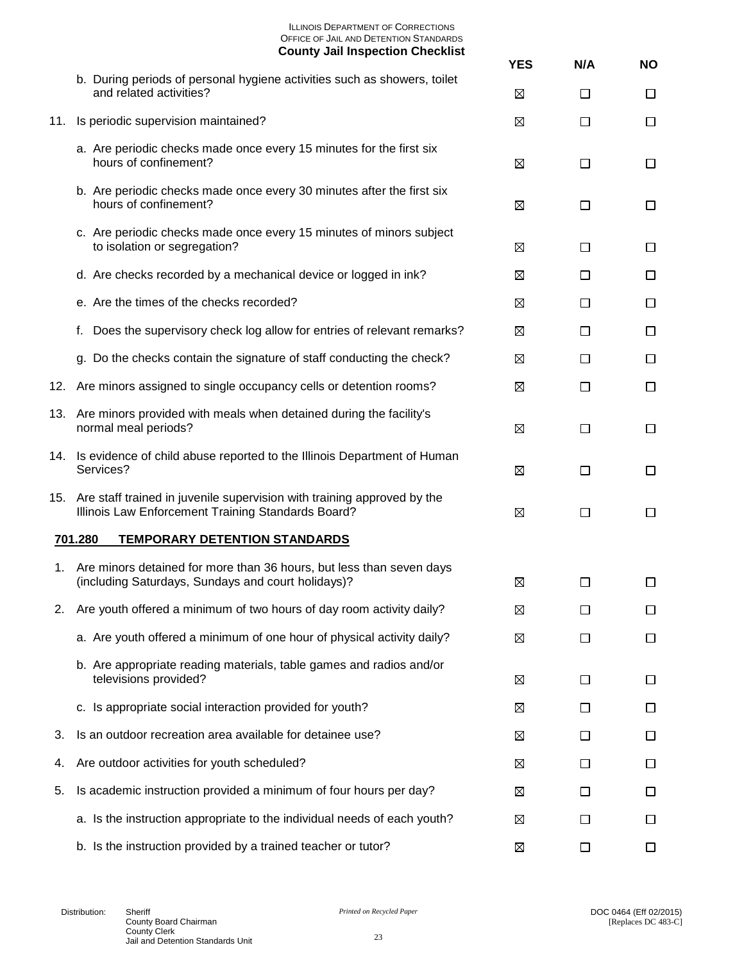|     |                                                                                                                                   | <b>YES</b> | N/A     | <b>NO</b> |
|-----|-----------------------------------------------------------------------------------------------------------------------------------|------------|---------|-----------|
|     | b. During periods of personal hygiene activities such as showers, toilet<br>and related activities?                               | ⊠          | □       | □         |
| 11. | Is periodic supervision maintained?                                                                                               | ⊠          | $\Box$  | □         |
|     | a. Are periodic checks made once every 15 minutes for the first six<br>hours of confinement?                                      | ⊠          | □       | □         |
|     | b. Are periodic checks made once every 30 minutes after the first six<br>hours of confinement?                                    | ⊠          | □       | □         |
|     | c. Are periodic checks made once every 15 minutes of minors subject<br>to isolation or segregation?                               | ⊠          | $\Box$  | □         |
|     | d. Are checks recorded by a mechanical device or logged in ink?                                                                   | ⊠          | $\Box$  | □         |
|     | e. Are the times of the checks recorded?                                                                                          | ⊠          | □       | □         |
|     | Does the supervisory check log allow for entries of relevant remarks?<br>f.                                                       | ⊠          | $\Box$  | □         |
|     | g. Do the checks contain the signature of staff conducting the check?                                                             | ⊠          | П       | $\Box$    |
|     | 12. Are minors assigned to single occupancy cells or detention rooms?                                                             | ⊠          | ⊔       | □         |
|     | 13. Are minors provided with meals when detained during the facility's<br>normal meal periods?                                    | ⊠          | П       | □         |
|     | 14. Is evidence of child abuse reported to the Illinois Department of Human<br>Services?                                          | ⊠          | □       | □         |
|     | 15. Are staff trained in juvenile supervision with training approved by the<br>Illinois Law Enforcement Training Standards Board? | ⊠          | □       | ப         |
|     | 701.280<br><b>TEMPORARY DETENTION STANDARDS</b>                                                                                   |            |         |           |
|     | 1. Are minors detained for more than 36 hours, but less than seven days<br>(including Saturdays, Sundays and court holidays)?     | ⊠          | $\Box$  | ⊔         |
| 2.  | Are youth offered a minimum of two hours of day room activity daily?                                                              | ⊠          | П       | □         |
|     | a. Are youth offered a minimum of one hour of physical activity daily?                                                            | ⊠          | $\perp$ | ப         |
|     | b. Are appropriate reading materials, table games and radios and/or<br>televisions provided?                                      | ⊠          | $\Box$  | ⊔         |
|     | c. Is appropriate social interaction provided for youth?                                                                          | ⊠          | □       | □         |
| 3.  | Is an outdoor recreation area available for detainee use?                                                                         | ⊠          | ⊔       | ப         |
| 4.  | Are outdoor activities for youth scheduled?                                                                                       | ⊠          | $\perp$ | ப         |
| 5.  | Is academic instruction provided a minimum of four hours per day?                                                                 | ⊠          | □       | □         |
|     | a. Is the instruction appropriate to the individual needs of each youth?                                                          | ⊠          | $\Box$  | ப         |
|     | b. Is the instruction provided by a trained teacher or tutor?                                                                     | ⊠          | П       |           |

Jail and Detention Standards Unit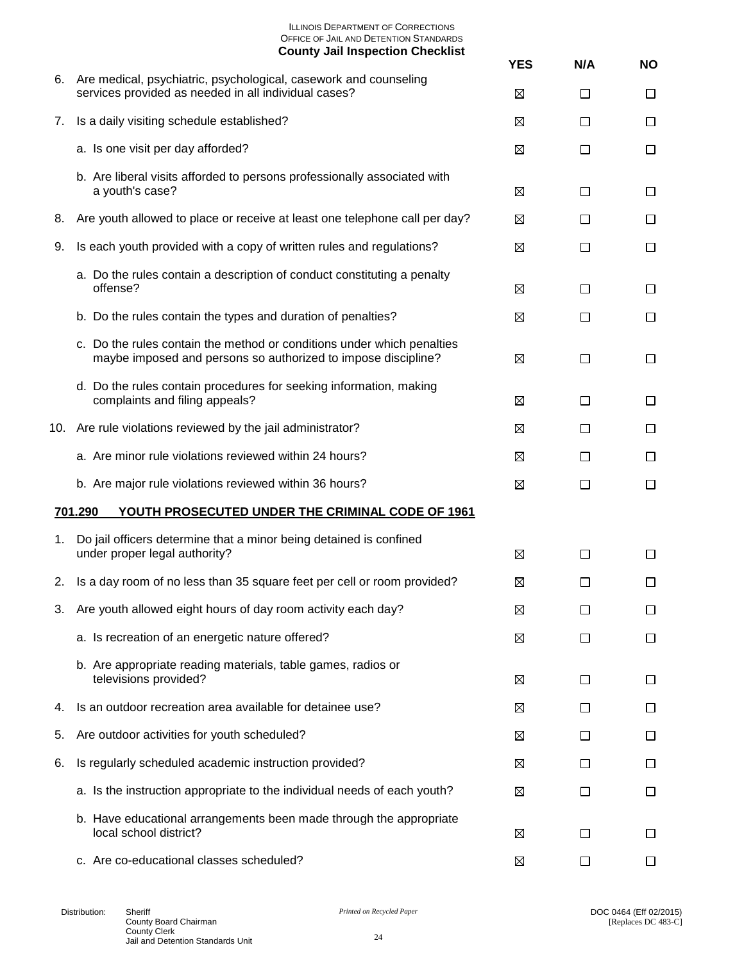|    |                                                                                                                                         | <b>YES</b> | N/A    | <b>NO</b> |
|----|-----------------------------------------------------------------------------------------------------------------------------------------|------------|--------|-----------|
|    | 6. Are medical, psychiatric, psychological, casework and counseling<br>services provided as needed in all individual cases?             | ⊠          | $\Box$ | □         |
| 7. | Is a daily visiting schedule established?                                                                                               | ⊠          | □      | ப         |
|    | a. Is one visit per day afforded?                                                                                                       | ⊠          | П      | □         |
|    | b. Are liberal visits afforded to persons professionally associated with<br>a youth's case?                                             | ⊠          | $\Box$ | □         |
| 8. | Are youth allowed to place or receive at least one telephone call per day?                                                              | ⊠          | □      | $\Box$    |
| 9. | Is each youth provided with a copy of written rules and regulations?                                                                    | ⊠          | П      | □         |
|    | a. Do the rules contain a description of conduct constituting a penalty<br>offense?                                                     | ⊠          | □      | ப         |
|    | b. Do the rules contain the types and duration of penalties?                                                                            | ⊠          | П      | $\Box$    |
|    | c. Do the rules contain the method or conditions under which penalties<br>maybe imposed and persons so authorized to impose discipline? | ⊠          | П      | $\Box$    |
|    | d. Do the rules contain procedures for seeking information, making<br>complaints and filing appeals?                                    | ⊠          | $\Box$ | □         |
|    | 10. Are rule violations reviewed by the jail administrator?                                                                             | ⊠          | □      | ப         |
|    | a. Are minor rule violations reviewed within 24 hours?                                                                                  | ⊠          | □      | $\Box$    |
|    | b. Are major rule violations reviewed within 36 hours?                                                                                  | ⊠          | □      | □         |
|    | 701.290<br>YOUTH PROSECUTED UNDER THE CRIMINAL CODE OF 1961                                                                             |            |        |           |
| 1. | Do jail officers determine that a minor being detained is confined<br>under proper legal authority?                                     | ⊠          | $\Box$ | $\Box$    |
| 2. | Is a day room of no less than 35 square feet per cell or room provided?                                                                 | ⊠          | П      | $\Box$    |
| 3. | Are youth allowed eight hours of day room activity each day?                                                                            | ⊠          | ⊔      | ⊔         |
|    | a. Is recreation of an energetic nature offered?                                                                                        | ⊠          | П      | $\Box$    |
|    | b. Are appropriate reading materials, table games, radios or<br>televisions provided?                                                   | ⊠          | П      | ப         |
| 4. | Is an outdoor recreation area available for detainee use?                                                                               | ⊠          | $\Box$ | $\Box$    |
| 5. | Are outdoor activities for youth scheduled?                                                                                             | ⊠          | П      | $\Box$    |
| 6. | Is regularly scheduled academic instruction provided?                                                                                   | ⊠          | П      | ப         |
|    | a. Is the instruction appropriate to the individual needs of each youth?                                                                | ⊠          | $\Box$ | $\Box$    |
|    | b. Have educational arrangements been made through the appropriate<br>local school district?                                            | ⊠          | $\Box$ | LI        |
|    | c. Are co-educational classes scheduled?                                                                                                | ⊠          | П      | П.        |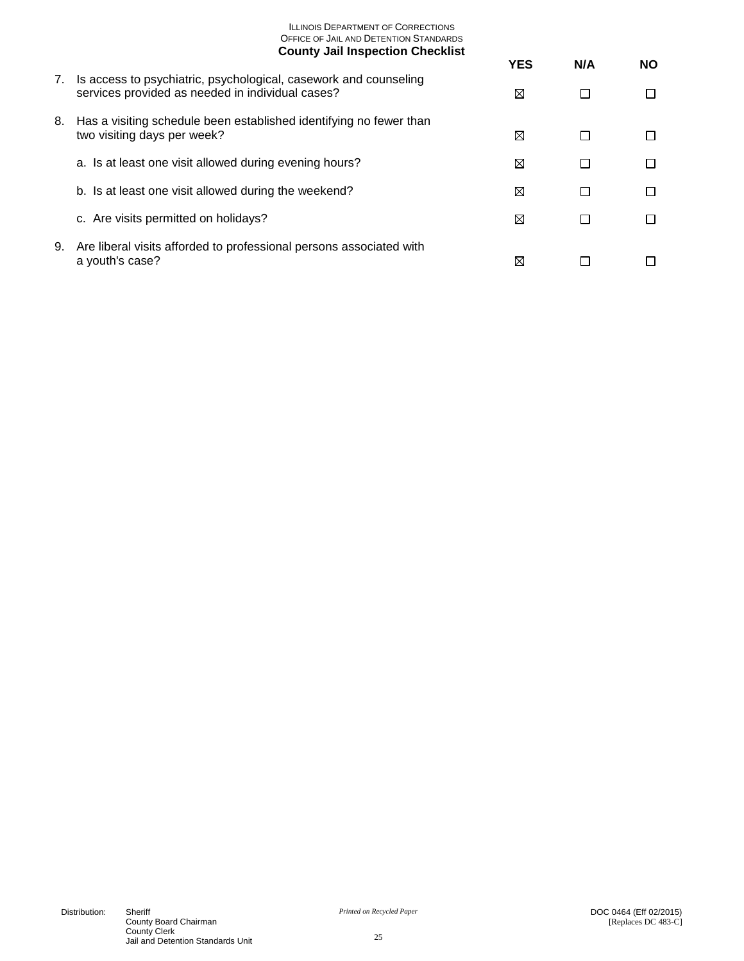|    |                                                                                                                      | <b>YES</b> | N/A | <b>NO</b> |
|----|----------------------------------------------------------------------------------------------------------------------|------------|-----|-----------|
| 7. | Is access to psychiatric, psychological, casework and counseling<br>services provided as needed in individual cases? | ⊠          |     |           |
| 8. | Has a visiting schedule been established identifying no fewer than<br>two visiting days per week?                    | ⊠          |     |           |
|    | a. Is at least one visit allowed during evening hours?                                                               | ⊠          |     |           |
|    | b. Is at least one visit allowed during the weekend?                                                                 | ⊠          |     | П         |
|    | c. Are visits permitted on holidays?                                                                                 | ⊠          |     |           |
| 9. | Are liberal visits afforded to professional persons associated with<br>a youth's case?                               | ⊠          |     |           |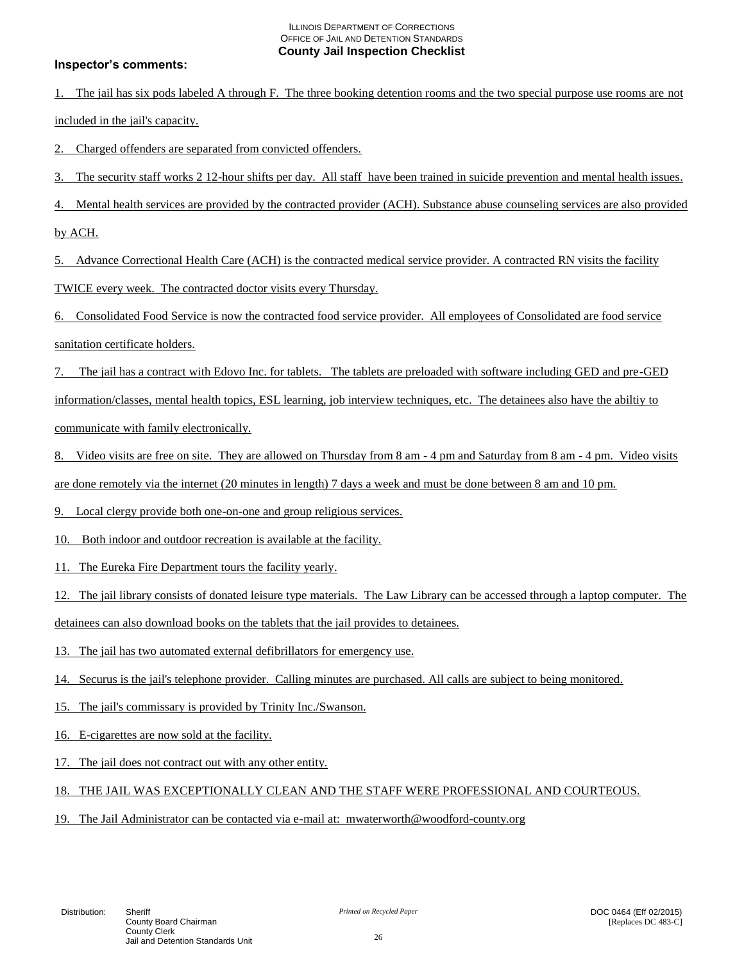# **Inspector's comments:**

- 1. The jail has six pods labeled A through F. The three booking detention rooms and the two special purpose use rooms are not included in the jail's capacity.
- 2. Charged offenders are separated from convicted offenders.
- 3. The security staff works 2 12-hour shifts per day. All staff have been trained in suicide prevention and mental health issues.
- 4. Mental health services are provided by the contracted provider (ACH). Substance abuse counseling services are also provided
- by ACH.
- 5. Advance Correctional Health Care (ACH) is the contracted medical service provider. A contracted RN visits the facility TWICE every week. The contracted doctor visits every Thursday.
- 6. Consolidated Food Service is now the contracted food service provider. All employees of Consolidated are food service sanitation certificate holders.
- 7. The jail has a contract with Edovo Inc. for tablets. The tablets are preloaded with software including GED and pre-GED information/classes, mental health topics, ESL learning, job interview techniques, etc. The detainees also have the abiltiy to communicate with family electronically.
- 8. Video visits are free on site. They are allowed on Thursday from 8 am 4 pm and Saturday from 8 am 4 pm. Video visits are done remotely via the internet (20 minutes in length) 7 days a week and must be done between 8 am and 10 pm.
- 9. Local clergy provide both one-on-one and group religious services.
- 10. Both indoor and outdoor recreation is available at the facility.
- 11. The Eureka Fire Department tours the facility yearly.
- 12. The jail library consists of donated leisure type materials. The Law Library can be accessed through a laptop computer. The detainees can also download books on the tablets that the jail provides to detainees.
- 13. The jail has two automated external defibrillators for emergency use.
- 14. Securus is the jail's telephone provider. Calling minutes are purchased. All calls are subject to being monitored.
- 15. The jail's commissary is provided by Trinity Inc./Swanson.
- 16. E-cigarettes are now sold at the facility.
- 17. The jail does not contract out with any other entity.
- 18. THE JAIL WAS EXCEPTIONALLY CLEAN AND THE STAFF WERE PROFESSIONAL AND COURTEOUS.
- 19. The Jail Administrator can be contacted via e-mail at: mwaterworth@woodford-county.org